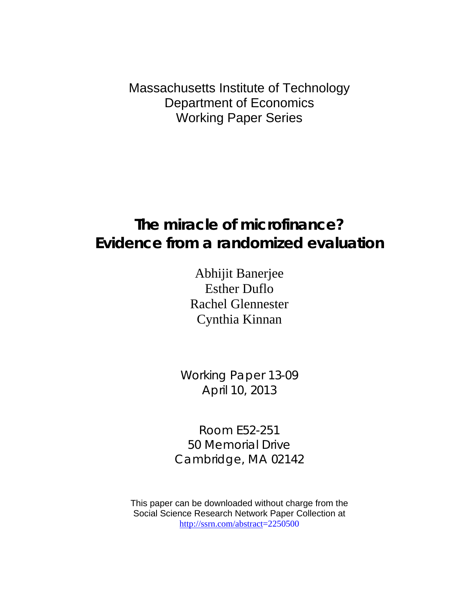Massachusetts Institute of Technology Department of Economics Working Paper Series

# **The miracle of microfinance? Evidence from a randomized evaluation**

Abhijit Banerjee Esther Duflo Rachel Glennester Cynthia Kinnan

Working Paper 13-09 April 10, 2013

Room E52-251 50 Memorial Drive Cambridge, MA 02142

This paper can be downloaded without charge from the Social Science Research Network Paper Collection at [http://ssrn.com/abstract=](http://ssrn.com/abstract)2250500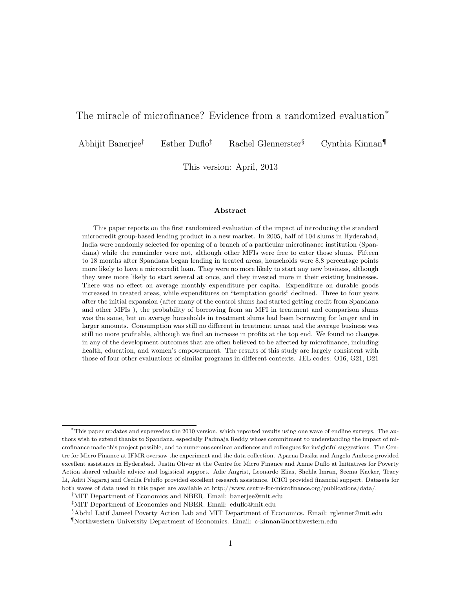# The miracle of microfinance? Evidence from a randomized evaluation<sup>\*</sup>

Abhijit Banerjee† Esther Duflo‡ Rachel Glennerster§ Cynthia Kinnan¶

This version: April, 2013

#### Abstract

This paper reports on the first randomized evaluation of the impact of introducing the standard microcredit group-based lending product in a new market. In 2005, half of 104 slums in Hyderabad, India were randomly selected for opening of a branch of a particular microfinance institution (Spandana) while the remainder were not, although other MFIs were free to enter those slums. Fifteen to 18 months after Spandana began lending in treated areas, households were 8.8 percentage points more likely to have a microcredit loan. They were no more likely to start any new business, although they were more likely to start several at once, and they invested more in their existing businesses. There was no effect on average monthly expenditure per capita. Expenditure on durable goods increased in treated areas, while expenditures on "temptation goods" declined. Three to four years after the initial expansion (after many of the control slums had started getting credit from Spandana and other MFIs ), the probability of borrowing from an MFI in treatment and comparison slums was the same, but on average households in treatment slums had been borrowing for longer and in larger amounts. Consumption was still no different in treatment areas, and the average business was still no more profitable, although we find an increase in profits at the top end. We found no changes in any of the development outcomes that are often believed to be affected by microfinance, including health, education, and women's empowerment. The results of this study are largely consistent with those of four other evaluations of similar programs in different contexts. JEL codes: O16, G21, D21

<sup>∗</sup>This paper updates and supersedes the 2010 version, which reported results using one wave of endline surveys. The authors wish to extend thanks to Spandana, especially Padmaja Reddy whose commitment to understanding the impact of microfinance made this project possible, and to numerous seminar audiences and colleagues for insightful suggestions. The Centre for Micro Finance at IFMR oversaw the experiment and the data collection. Aparna Dasika and Angela Ambroz provided excellent assistance in Hyderabad. Justin Oliver at the Centre for Micro Finance and Annie Duflo at Initiatives for Poverty Action shared valuable advice and logistical support. Adie Angrist, Leonardo Elias, Shehla Imran, Seema Kacker, Tracy Li, Aditi Nagaraj and Cecilia Peluffo provided excellent research assistance. ICICI provided financial support. Datasets for both waves of data used in this paper are available at http://www.centre-for-microfinance.org/publications/data/.

<sup>†</sup>MIT Department of Economics and NBER. Email: banerjee@mit.edu

<sup>‡</sup>MIT Department of Economics and NBER. Email: eduflo@mit.edu

<sup>§</sup>Abdul Latif Jameel Poverty Action Lab and MIT Department of Economics. Email: rglenner@mit.edu

<sup>¶</sup>Northwestern University Department of Economics. Email: c-kinnan@northwestern.edu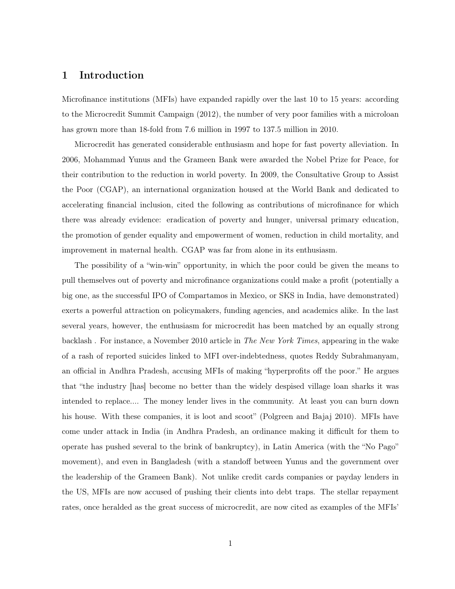# 1 Introduction

Microfinance institutions (MFIs) have expanded rapidly over the last 10 to 15 years: according to the Microcredit Summit Campaign (2012), the number of very poor families with a microloan has grown more than 18-fold from 7.6 million in 1997 to 137.5 million in 2010.

Microcredit has generated considerable enthusiasm and hope for fast poverty alleviation. In 2006, Mohammad Yunus and the Grameen Bank were awarded the Nobel Prize for Peace, for their contribution to the reduction in world poverty. In 2009, the Consultative Group to Assist the Poor (CGAP), an international organization housed at the World Bank and dedicated to accelerating financial inclusion, cited the following as contributions of microfinance for which there was already evidence: eradication of poverty and hunger, universal primary education, the promotion of gender equality and empowerment of women, reduction in child mortality, and improvement in maternal health. CGAP was far from alone in its enthusiasm.

The possibility of a "win-win" opportunity, in which the poor could be given the means to pull themselves out of poverty and microfinance organizations could make a profit (potentially a big one, as the successful IPO of Compartamos in Mexico, or SKS in India, have demonstrated) exerts a powerful attraction on policymakers, funding agencies, and academics alike. In the last several years, however, the enthusiasm for microcredit has been matched by an equally strong backlash . For instance, a November 2010 article in The New York Times, appearing in the wake of a rash of reported suicides linked to MFI over-indebtedness, quotes Reddy Subrahmanyam, an official in Andhra Pradesh, accusing MFIs of making "hyperprofits off the poor." He argues that "the industry [has] become no better than the widely despised village loan sharks it was intended to replace.... The money lender lives in the community. At least you can burn down his house. With these companies, it is loot and scoot" (Polgreen and Bajaj 2010). MFIs have come under attack in India (in Andhra Pradesh, an ordinance making it difficult for them to operate has pushed several to the brink of bankruptcy), in Latin America (with the "No Pago" movement), and even in Bangladesh (with a standoff between Yunus and the government over the leadership of the Grameen Bank). Not unlike credit cards companies or payday lenders in the US, MFIs are now accused of pushing their clients into debt traps. The stellar repayment rates, once heralded as the great success of microcredit, are now cited as examples of the MFIs'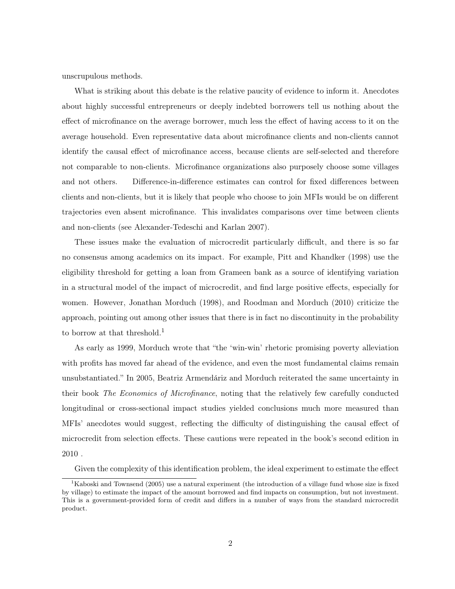unscrupulous methods.

What is striking about this debate is the relative paucity of evidence to inform it. Anecdotes about highly successful entrepreneurs or deeply indebted borrowers tell us nothing about the effect of microfinance on the average borrower, much less the effect of having access to it on the average household. Even representative data about microfinance clients and non-clients cannot identify the causal effect of microfinance access, because clients are self-selected and therefore not comparable to non-clients. Microfinance organizations also purposely choose some villages and not others. . Difference-in-difference estimates can control for fixed differences between clients and non-clients, but it is likely that people who choose to join MFIs would be on different trajectories even absent microfinance. This invalidates comparisons over time between clients and non-clients (see Alexander-Tedeschi and Karlan 2007).

These issues make the evaluation of microcredit particularly difficult, and there is so far no consensus among academics on its impact. For example, Pitt and Khandker (1998) use the eligibility threshold for getting a loan from Grameen bank as a source of identifying variation in a structural model of the impact of microcredit, and find large positive effects, especially for women. However, Jonathan Morduch (1998), and Roodman and Morduch (2010) criticize the approach, pointing out among other issues that there is in fact no discontinuity in the probability to borrow at that threshold.<sup>1</sup>

As early as 1999, Morduch wrote that "the 'win-win' rhetoric promising poverty alleviation with profits has moved far ahead of the evidence, and even the most fundamental claims remain unsubstantiated." In 2005, Beatriz Armendáriz and Morduch reiterated the same uncertainty in their book The Economics of Microfinance, noting that the relatively few carefully conducted longitudinal or cross-sectional impact studies yielded conclusions much more measured than MFIs' anecdotes would suggest, reflecting the difficulty of distinguishing the causal effect of microcredit from selection effects. These cautions were repeated in the book's second edition in 2010 .

Given the complexity of this identification problem, the ideal experiment to estimate the effect

<sup>&</sup>lt;sup>1</sup>Kaboski and Townsend (2005) use a natural experiment (the introduction of a village fund whose size is fixed by village) to estimate the impact of the amount borrowed and find impacts on consumption, but not investment. This is a government-provided form of credit and differs in a number of ways from the standard microcredit product.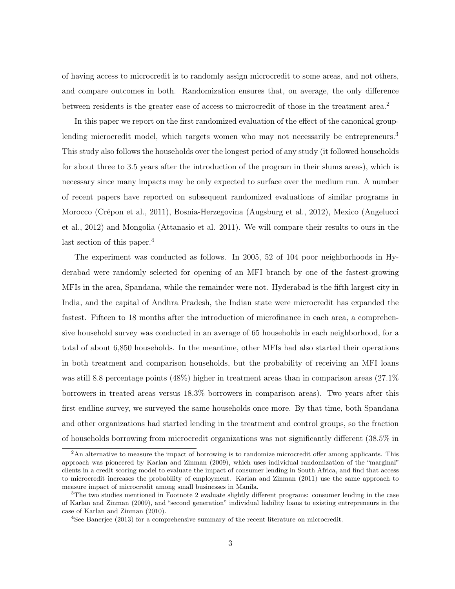of having access to microcredit is to randomly assign microcredit to some areas, and not others, and compare outcomes in both. Randomization ensures that, on average, the only difference between residents is the greater ease of access to microcredit of those in the treatment area.<sup>2</sup>

In this paper we report on the first randomized evaluation of the effect of the canonical grouplending microcredit model, which targets women who may not necessarily be entrepreneurs.<sup>3</sup> This study also follows the households over the longest period of any study (it followed households for about three to 3.5 years after the introduction of the program in their slums areas), which is necessary since many impacts may be only expected to surface over the medium run. A number of recent papers have reported on subsequent randomized evaluations of similar programs in Morocco (Crépon et al., 2011), Bosnia-Herzegovina (Augsburg et al., 2012), Mexico (Angelucci et al., 2012) and Mongolia (Attanasio et al. 2011). We will compare their results to ours in the last section of this paper.<sup>4</sup>

The experiment was conducted as follows. In 2005, 52 of 104 poor neighborhoods in Hyderabad were randomly selected for opening of an MFI branch by one of the fastest-growing MFIs in the area, Spandana, while the remainder were not. Hyderabad is the fifth largest city in India, and the capital of Andhra Pradesh, the Indian state were microcredit has expanded the fastest. Fifteen to 18 months after the introduction of microfinance in each area, a comprehensive household survey was conducted in an average of 65 households in each neighborhood, for a total of about 6,850 households. In the meantime, other MFIs had also started their operations in both treatment and comparison households, but the probability of receiving an MFI loans was still 8.8 percentage points (48%) higher in treatment areas than in comparison areas (27.1%) borrowers in treated areas versus 18.3% borrowers in comparison areas). Two years after this first endline survey, we surveyed the same households once more. By that time, both Spandana and other organizations had started lending in the treatment and control groups, so the fraction of households borrowing from microcredit organizations was not significantly different (38.5% in

 $2<sup>2</sup>$ An alternative to measure the impact of borrowing is to randomize microcredit offer among applicants. This approach was pioneered by Karlan and Zinman (2009), which uses individual randomization of the "marginal" clients in a credit scoring model to evaluate the impact of consumer lending in South Africa, and find that access to microcredit increases the probability of employment. Karlan and Zinman (2011) use the same approach to measure impact of microcredit among small businesses in Manila.

<sup>&</sup>lt;sup>3</sup>The two studies mentioned in Footnote 2 evaluate slightly different programs: consumer lending in the case of Karlan and Zinman (2009), and "second generation" individual liability loans to existing entrepreneurs in the case of Karlan and Zinman (2010).

 $4$ See Banerjee (2013) for a comprehensive summary of the recent literature on microcredit.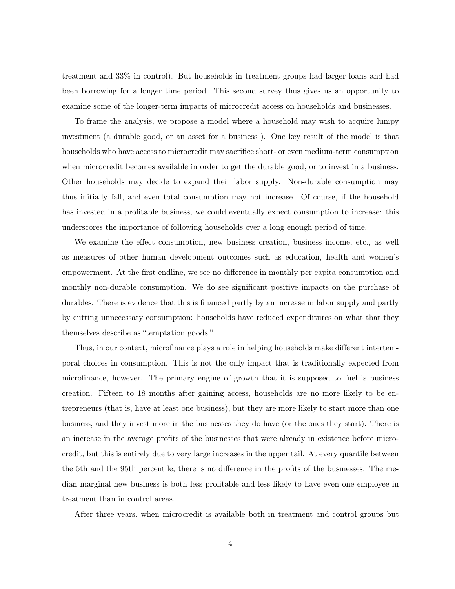treatment and 33% in control). But households in treatment groups had larger loans and had been borrowing for a longer time period. This second survey thus gives us an opportunity to examine some of the longer-term impacts of microcredit access on households and businesses.

To frame the analysis, we propose a model where a household may wish to acquire lumpy investment (a durable good, or an asset for a business ). One key result of the model is that households who have access to microcredit may sacrifice short- or even medium-term consumption when microcredit becomes available in order to get the durable good, or to invest in a business. Other households may decide to expand their labor supply. Non-durable consumption may thus initially fall, and even total consumption may not increase. Of course, if the household has invested in a profitable business, we could eventually expect consumption to increase: this underscores the importance of following households over a long enough period of time.

We examine the effect consumption, new business creation, business income, etc., as well as measures of other human development outcomes such as education, health and women's empowerment. At the first endline, we see no difference in monthly per capita consumption and monthly non-durable consumption. We do see significant positive impacts on the purchase of durables. There is evidence that this is financed partly by an increase in labor supply and partly by cutting unnecessary consumption: households have reduced expenditures on what that they themselves describe as "temptation goods."

Thus, in our context, microfinance plays a role in helping households make different intertemporal choices in consumption. This is not the only impact that is traditionally expected from microfinance, however. The primary engine of growth that it is supposed to fuel is business creation. Fifteen to 18 months after gaining access, households are no more likely to be entrepreneurs (that is, have at least one business), but they are more likely to start more than one business, and they invest more in the businesses they do have (or the ones they start). There is an increase in the average profits of the businesses that were already in existence before microcredit, but this is entirely due to very large increases in the upper tail. At every quantile between the 5th and the 95th percentile, there is no difference in the profits of the businesses. The median marginal new business is both less profitable and less likely to have even one employee in treatment than in control areas.

After three years, when microcredit is available both in treatment and control groups but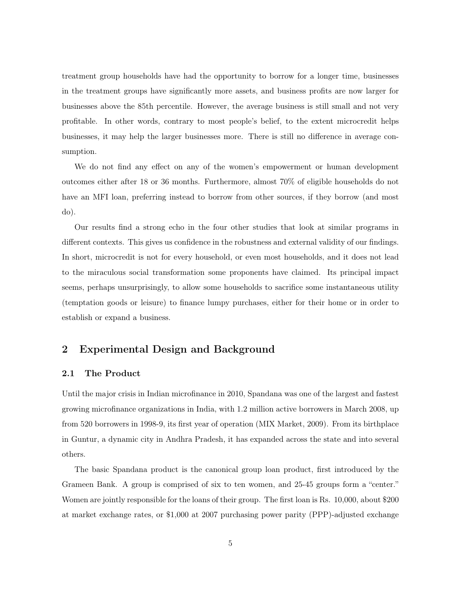treatment group households have had the opportunity to borrow for a longer time, businesses in the treatment groups have significantly more assets, and business profits are now larger for businesses above the 85th percentile. However, the average business is still small and not very profitable. In other words, contrary to most people's belief, to the extent microcredit helps businesses, it may help the larger businesses more. There is still no difference in average consumption.

We do not find any effect on any of the women's empowerment or human development outcomes either after 18 or 36 months. Furthermore, almost 70% of eligible households do not have an MFI loan, preferring instead to borrow from other sources, if they borrow (and most do).

Our results find a strong echo in the four other studies that look at similar programs in different contexts. This gives us confidence in the robustness and external validity of our findings. In short, microcredit is not for every household, or even most households, and it does not lead to the miraculous social transformation some proponents have claimed. Its principal impact seems, perhaps unsurprisingly, to allow some households to sacrifice some instantaneous utility (temptation goods or leisure) to finance lumpy purchases, either for their home or in order to establish or expand a business.

# 2 Experimental Design and Background

### 2.1 The Product

Until the major crisis in Indian microfinance in 2010, Spandana was one of the largest and fastest growing microfinance organizations in India, with 1.2 million active borrowers in March 2008, up from 520 borrowers in 1998-9, its first year of operation (MIX Market, 2009). From its birthplace in Guntur, a dynamic city in Andhra Pradesh, it has expanded across the state and into several others.

The basic Spandana product is the canonical group loan product, first introduced by the Grameen Bank. A group is comprised of six to ten women, and 25-45 groups form a "center." Women are jointly responsible for the loans of their group. The first loan is Rs. 10,000, about \$200 at market exchange rates, or \$1,000 at 2007 purchasing power parity (PPP)-adjusted exchange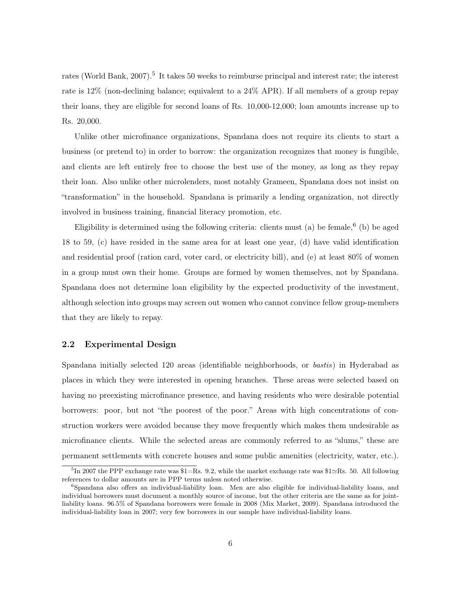rates (World Bank, 2007).<sup>5</sup> It takes 50 weeks to reimburse principal and interest rate; the interest rate is 12% (non-declining balance; equivalent to a 24% APR). If all members of a group repay their loans, they are eligible for second loans of Rs. 10,000-12,000; loan amounts increase up to Rs. 20,000.

Unlike other microfinance organizations, Spandana does not require its clients to start a business (or pretend to) in order to borrow: the organization recognizes that money is fungible, and clients are left entirely free to choose the best use of the money, as long as they repay their loan. Also unlike other microlenders, most notably Grameen, Spandana does not insist on "transformation" in the household. Spandana is primarily a lending organization, not directly involved in business training, financial literacy promotion, etc.

Eligibility is determined using the following criteria: clients must (a) be female,  $6$  (b) be aged 18 to 59, (c) have resided in the same area for at least one year, (d) have valid identification and residential proof (ration card, voter card, or electricity bill), and (e) at least 80% of women in a group must own their home. Groups are formed by women themselves, not by Spandana. Spandana does not determine loan eligibility by the expected productivity of the investment, although selection into groups may screen out women who cannot convince fellow group-members that they are likely to repay.

### 2.2 Experimental Design

Spandana initially selected 120 areas (identifiable neighborhoods, or bastis) in Hyderabad as places in which they were interested in opening branches. These areas were selected based on having no preexisting microfinance presence, and having residents who were desirable potential borrowers: poor, but not "the poorest of the poor." Areas with high concentrations of construction workers were avoided because they move frequently which makes them undesirable as microfinance clients. While the selected areas are commonly referred to as "slums," these are permanent settlements with concrete houses and some public amenities (electricity, water, etc.).

 ${}^{5}$ In 2007 the PPP exchange rate was \$1=Rs. 9.2, while the market exchange rate was \$1 $\simeq$ Rs. 50. All following references to dollar amounts are in PPP terms unless noted otherwise.

<sup>6</sup>Spandana also offers an individual-liability loan. Men are also eligible for individual-liability loans, and individual borrowers must document a monthly source of income, but the other criteria are the same as for jointliability loans. 96.5% of Spandana borrowers were female in 2008 (Mix Market, 2009). Spandana introduced the individual-liability loan in 2007; very few borrowers in our sample have individual-liability loans.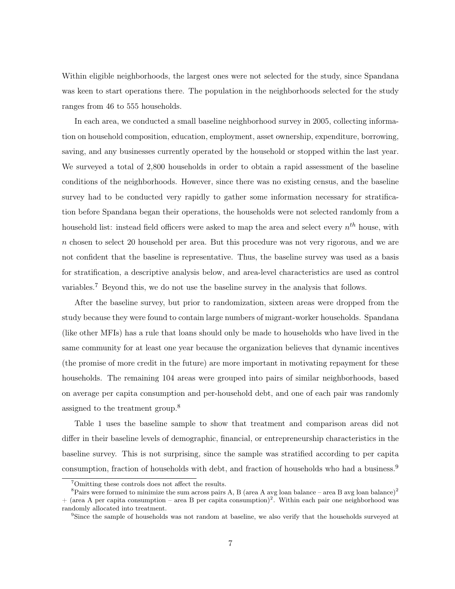Within eligible neighborhoods, the largest ones were not selected for the study, since Spandana was keen to start operations there. The population in the neighborhoods selected for the study ranges from 46 to 555 households.

In each area, we conducted a small baseline neighborhood survey in 2005, collecting information on household composition, education, employment, asset ownership, expenditure, borrowing, saving, and any businesses currently operated by the household or stopped within the last year. We surveyed a total of 2,800 households in order to obtain a rapid assessment of the baseline conditions of the neighborhoods. However, since there was no existing census, and the baseline survey had to be conducted very rapidly to gather some information necessary for stratification before Spandana began their operations, the households were not selected randomly from a household list: instead field officers were asked to map the area and select every  $n^{th}$  house, with  $n$  chosen to select 20 household per area. But this procedure was not very rigorous, and we are not confident that the baseline is representative. Thus, the baseline survey was used as a basis for stratification, a descriptive analysis below, and area-level characteristics are used as control variables.<sup>7</sup> Beyond this, we do not use the baseline survey in the analysis that follows.

After the baseline survey, but prior to randomization, sixteen areas were dropped from the study because they were found to contain large numbers of migrant-worker households. Spandana (like other MFIs) has a rule that loans should only be made to households who have lived in the same community for at least one year because the organization believes that dynamic incentives (the promise of more credit in the future) are more important in motivating repayment for these households. The remaining 104 areas were grouped into pairs of similar neighborhoods, based on average per capita consumption and per-household debt, and one of each pair was randomly assigned to the treatment group.<sup>8</sup>

Table 1 uses the baseline sample to show that treatment and comparison areas did not differ in their baseline levels of demographic, financial, or entrepreneurship characteristics in the baseline survey. This is not surprising, since the sample was stratified according to per capita consumption, fraction of households with debt, and fraction of households who had a business.<sup>9</sup>

<sup>7</sup>Omitting these controls does not affect the results.

<sup>&</sup>lt;sup>8</sup>Pairs were formed to minimize the sum across pairs A, B (area A avg loan balance – area B avg loan balance)<sup>2</sup>  $+$  (area A per capita consumption – area B per capita consumption)<sup>2</sup>. Within each pair one neighborhood was randomly allocated into treatment.

<sup>&</sup>lt;sup>9</sup>Since the sample of households was not random at baseline, we also verify that the households surveyed at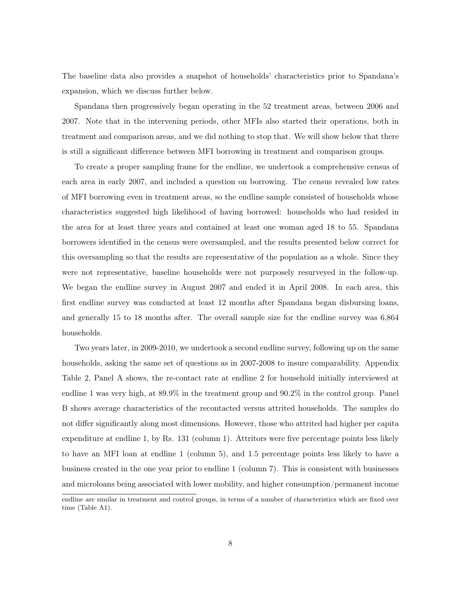The baseline data also provides a snapshot of households' characteristics prior to Spandana's expansion, which we discuss further below.

Spandana then progressively began operating in the 52 treatment areas, between 2006 and 2007. Note that in the intervening periods, other MFIs also started their operations, both in treatment and comparison areas, and we did nothing to stop that. We will show below that there is still a significant difference between MFI borrowing in treatment and comparison groups.

To create a proper sampling frame for the endline, we undertook a comprehensive census of each area in early 2007, and included a question on borrowing. The census revealed low rates of MFI borrowing even in treatment areas, so the endline sample consisted of households whose characteristics suggested high likelihood of having borrowed: households who had resided in the area for at least three years and contained at least one woman aged 18 to 55. Spandana borrowers identified in the census were oversampled, and the results presented below correct for this oversampling so that the results are representative of the population as a whole. Since they were not representative, baseline households were not purposely resurveyed in the follow-up. We began the endline survey in August 2007 and ended it in April 2008. In each area, this first endline survey was conducted at least 12 months after Spandana began disbursing loans, and generally 15 to 18 months after. The overall sample size for the endline survey was 6,864 households.

Two years later, in 2009-2010, we undertook a second endline survey, following up on the same households, asking the same set of questions as in 2007-2008 to insure comparability. Appendix Table 2, Panel A shows, the re-contact rate at endline 2 for household initially interviewed at endline 1 was very high, at 89.9% in the treatment group and 90.2% in the control group. Panel B shows average characteristics of the recontacted versus attrited households. The samples do not differ significantly along most dimensions. However, those who attrited had higher per capita expenditure at endline 1, by Rs. 131 (column 1). Attritors were five percentage points less likely to have an MFI loan at endline 1 (column 5), and 1.5 percentage points less likely to have a business created in the one year prior to endline 1 (column 7). This is consistent with businesses and microloans being associated with lower mobility, and higher consumption/permanent income

endline are similar in treatment and control groups, in terms of a number of characteristics which are fixed over time (Table A1).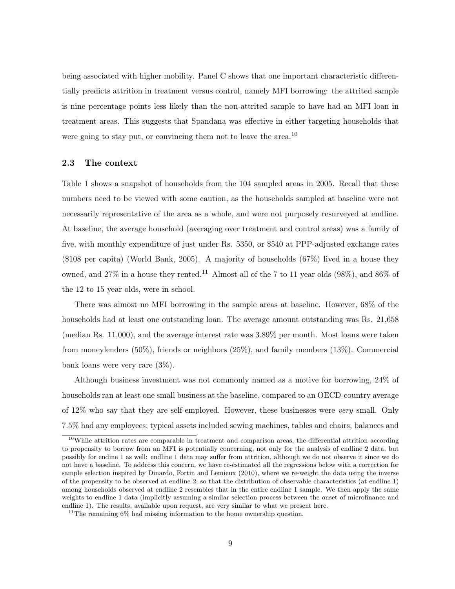being associated with higher mobility. Panel C shows that one important characteristic differentially predicts attrition in treatment versus control, namely MFI borrowing: the attrited sample is nine percentage points less likely than the non-attrited sample to have had an MFI loan in treatment areas. This suggests that Spandana was effective in either targeting households that were going to stay put, or convincing them not to leave the area.<sup>10</sup>

### 2.3 The context

Table 1 shows a snapshot of households from the 104 sampled areas in 2005. Recall that these numbers need to be viewed with some caution, as the households sampled at baseline were not necessarily representative of the area as a whole, and were not purposely resurveyed at endline. At baseline, the average household (averaging over treatment and control areas) was a family of five, with monthly expenditure of just under Rs. 5350, or \$540 at PPP-adjusted exchange rates (\$108 per capita) (World Bank, 2005). A majority of households (67%) lived in a house they owned, and 27% in a house they rented.<sup>11</sup> Almost all of the 7 to 11 year olds  $(98\%)$ , and  $86\%$  of the 12 to 15 year olds, were in school.

There was almost no MFI borrowing in the sample areas at baseline. However, 68% of the households had at least one outstanding loan. The average amount outstanding was Rs. 21,658 (median Rs. 11,000), and the average interest rate was 3.89% per month. Most loans were taken from moneylenders (50%), friends or neighbors (25%), and family members (13%). Commercial bank loans were very rare (3%).

Although business investment was not commonly named as a motive for borrowing, 24% of households ran at least one small business at the baseline, compared to an OECD-country average of 12% who say that they are self-employed. However, these businesses were very small. Only 7.5% had any employees; typical assets included sewing machines, tables and chairs, balances and

<sup>&</sup>lt;sup>10</sup>While attrition rates are comparable in treatment and comparison areas, the differential attrition according to propensity to borrow from an MFI is potentially concerning, not only for the analysis of endline 2 data, but possibly for endine 1 as well: endline 1 data may suffer from attrition, although we do not observe it since we do not have a baseline. To address this concern, we have re-estimated all the regressions below with a correction for sample selection inspired by Dinardo, Fortin and Lemieux (2010), where we re-weight the data using the inverse of the propensity to be observed at endline 2, so that the distribution of observable characteristics (at endline 1) among households observed at endline 2 resembles that in the entire endline 1 sample. We then apply the same weights to endline 1 data (implicitly assuming a similar selection process between the onset of microfinance and endline 1). The results, available upon request, are very similar to what we present here.

<sup>&</sup>lt;sup>11</sup>The remaining  $6\%$  had missing information to the home ownership question.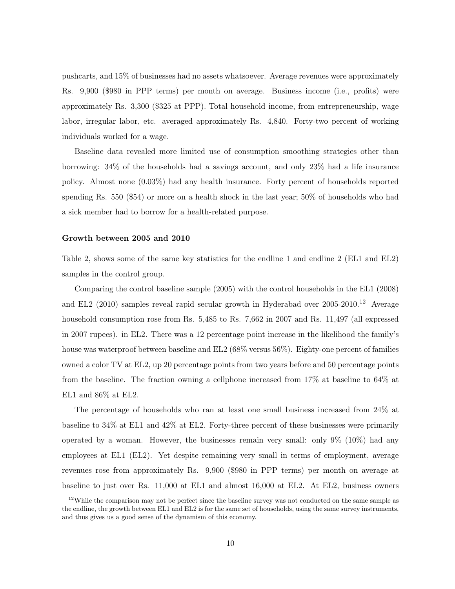pushcarts, and 15% of businesses had no assets whatsoever. Average revenues were approximately Rs. 9,900 (\$980 in PPP terms) per month on average. Business income (i.e., profits) were approximately Rs. 3,300 (\$325 at PPP). Total household income, from entrepreneurship, wage labor, irregular labor, etc. averaged approximately Rs. 4,840. Forty-two percent of working individuals worked for a wage.

Baseline data revealed more limited use of consumption smoothing strategies other than borrowing: 34% of the households had a savings account, and only 23% had a life insurance policy. Almost none (0.03%) had any health insurance. Forty percent of households reported spending Rs. 550 (\$54) or more on a health shock in the last year; 50% of households who had a sick member had to borrow for a health-related purpose.

### Growth between 2005 and 2010

Table 2, shows some of the same key statistics for the endline 1 and endline 2 (EL1 and EL2) samples in the control group.

Comparing the control baseline sample (2005) with the control households in the EL1 (2008) and EL2 (2010) samples reveal rapid secular growth in Hyderabad over  $2005-2010$ .<sup>12</sup> Average household consumption rose from Rs. 5,485 to Rs. 7,662 in 2007 and Rs. 11,497 (all expressed in 2007 rupees). in EL2. There was a 12 percentage point increase in the likelihood the family's house was waterproof between baseline and EL2 (68% versus 56%). Eighty-one percent of families owned a color TV at EL2, up 20 percentage points from two years before and 50 percentage points from the baseline. The fraction owning a cellphone increased from 17% at baseline to 64% at EL1 and 86% at EL2.

The percentage of households who ran at least one small business increased from 24% at baseline to 34% at EL1 and 42% at EL2. Forty-three percent of these businesses were primarily operated by a woman. However, the businesses remain very small: only 9% (10%) had any employees at EL1 (EL2). Yet despite remaining very small in terms of employment, average revenues rose from approximately Rs. 9,900 (\$980 in PPP terms) per month on average at baseline to just over Rs. 11,000 at EL1 and almost 16,000 at EL2. At EL2, business owners

<sup>&</sup>lt;sup>12</sup>While the comparison may not be perfect since the baseline survey was not conducted on the same sample as the endline, the growth between EL1 and EL2 is for the same set of households, using the same survey instruments, and thus gives us a good sense of the dynamism of this economy.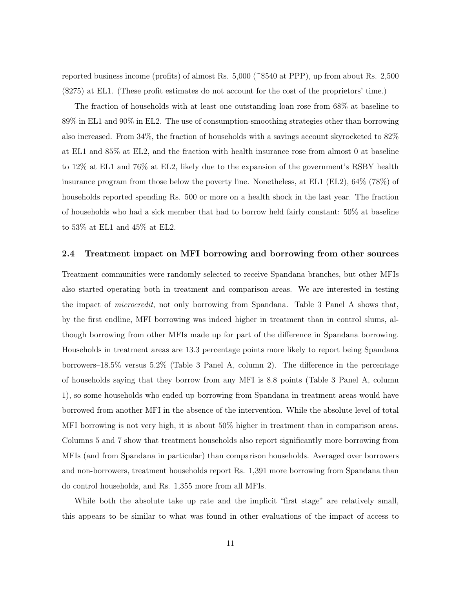reported business income (profits) of almost Rs.  $5,000$  (~\$540 at PPP), up from about Rs. 2,500 (\$275) at EL1. (These profit estimates do not account for the cost of the proprietors' time.)

The fraction of households with at least one outstanding loan rose from 68% at baseline to 89% in EL1 and 90% in EL2. The use of consumption-smoothing strategies other than borrowing also increased. From 34%, the fraction of households with a savings account skyrocketed to 82% at EL1 and 85% at EL2, and the fraction with health insurance rose from almost 0 at baseline to 12% at EL1 and 76% at EL2, likely due to the expansion of the government's RSBY health insurance program from those below the poverty line. Nonetheless, at EL1 (EL2), 64% (78%) of households reported spending Rs. 500 or more on a health shock in the last year. The fraction of households who had a sick member that had to borrow held fairly constant: 50% at baseline to 53% at EL1 and 45% at EL2.

### 2.4 Treatment impact on MFI borrowing and borrowing from other sources

Treatment communities were randomly selected to receive Spandana branches, but other MFIs also started operating both in treatment and comparison areas. We are interested in testing the impact of *microcredit*, not only borrowing from Spandana. Table 3 Panel A shows that, by the first endline, MFI borrowing was indeed higher in treatment than in control slums, although borrowing from other MFIs made up for part of the difference in Spandana borrowing. Households in treatment areas are 13.3 percentage points more likely to report being Spandana borrowers–18.5% versus 5.2% (Table 3 Panel A, column 2). The difference in the percentage of households saying that they borrow from any MFI is 8.8 points (Table 3 Panel A, column 1), so some households who ended up borrowing from Spandana in treatment areas would have borrowed from another MFI in the absence of the intervention. While the absolute level of total MFI borrowing is not very high, it is about 50% higher in treatment than in comparison areas. Columns 5 and 7 show that treatment households also report significantly more borrowing from MFIs (and from Spandana in particular) than comparison households. Averaged over borrowers and non-borrowers, treatment households report Rs. 1,391 more borrowing from Spandana than do control households, and Rs. 1,355 more from all MFIs.

While both the absolute take up rate and the implicit "first stage" are relatively small, this appears to be similar to what was found in other evaluations of the impact of access to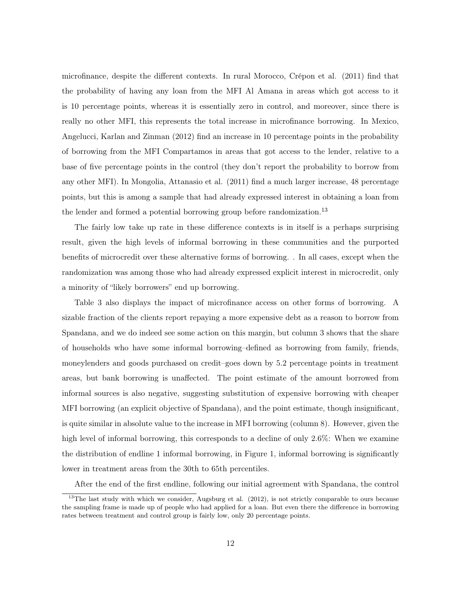microfinance, despite the different contexts. In rural Morocco, Crépon et al. (2011) find that the probability of having any loan from the MFI Al Amana in areas which got access to it is 10 percentage points, whereas it is essentially zero in control, and moreover, since there is really no other MFI, this represents the total increase in microfinance borrowing. In Mexico, Angelucci, Karlan and Zinman (2012) find an increase in 10 percentage points in the probability of borrowing from the MFI Compartamos in areas that got access to the lender, relative to a base of five percentage points in the control (they don't report the probability to borrow from any other MFI). In Mongolia, Attanasio et al. (2011) find a much larger increase, 48 percentage points, but this is among a sample that had already expressed interest in obtaining a loan from the lender and formed a potential borrowing group before randomization.<sup>13</sup>

The fairly low take up rate in these difference contexts is in itself is a perhaps surprising result, given the high levels of informal borrowing in these communities and the purported benefits of microcredit over these alternative forms of borrowing. . In all cases, except when the randomization was among those who had already expressed explicit interest in microcredit, only a minority of "likely borrowers" end up borrowing.

Table 3 also displays the impact of microfinance access on other forms of borrowing. A sizable fraction of the clients report repaying a more expensive debt as a reason to borrow from Spandana, and we do indeed see some action on this margin, but column 3 shows that the share of households who have some informal borrowing–defined as borrowing from family, friends, moneylenders and goods purchased on credit–goes down by 5.2 percentage points in treatment areas, but bank borrowing is unaffected. The point estimate of the amount borrowed from informal sources is also negative, suggesting substitution of expensive borrowing with cheaper MFI borrowing (an explicit objective of Spandana), and the point estimate, though insignificant, is quite similar in absolute value to the increase in MFI borrowing (column 8). However, given the high level of informal borrowing, this corresponds to a decline of only 2.6%: When we examine the distribution of endline 1 informal borrowing, in Figure 1, informal borrowing is significantly lower in treatment areas from the 30th to 65th percentiles.

After the end of the first endline, following our initial agreement with Spandana, the control

 $13$ The last study with which we consider, Augsburg et al. (2012), is not strictly comparable to ours because the sampling frame is made up of people who had applied for a loan. But even there the difference in borrowing rates between treatment and control group is fairly low, only 20 percentage points.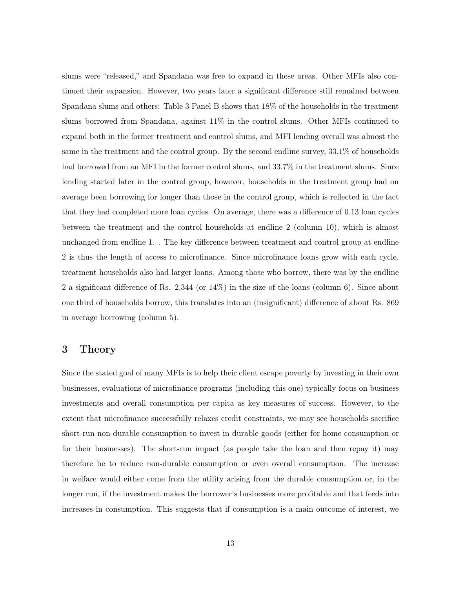slums were "released," and Spandana was free to expand in these areas. Other MFIs also continued their expansion. However, two years later a significant difference still remained between Spandana slums and others: Table 3 Panel B shows that 18% of the households in the treatment slums borrowed from Spandana, against 11% in the control slums. Other MFIs continued to expand both in the former treatment and control slums, and MFI lending overall was almost the same in the treatment and the control group. By the second endline survey, 33.1% of households had borrowed from an MFI in the former control slums, and 33.7% in the treatment slums. Since lending started later in the control group, however, households in the treatment group had on average been borrowing for longer than those in the control group, which is reflected in the fact that they had completed more loan cycles. On average, there was a difference of 0.13 loan cycles between the treatment and the control households at endline 2 (column 10), which is almost unchanged from endline 1. . The key difference between treatment and control group at endline 2 is thus the length of access to microfinance. Since microfinance loans grow with each cycle, treatment households also had larger loans. Among those who borrow, there was by the endline 2 a significant difference of Rs. 2,344 (or 14%) in the size of the loans (column 6). Since about one third of households borrow, this translates into an (insignificant) difference of about Rs. 869 in average borrowing (column 5).

# 3 Theory

Since the stated goal of many MFIs is to help their client escape poverty by investing in their own businesses, evaluations of microfinance programs (including this one) typically focus on business investments and overall consumption per capita as key measures of success. However, to the extent that microfinance successfully relaxes credit constraints, we may see households sacrifice short-run non-durable consumption to invest in durable goods (either for home consumption or for their businesses). The short-run impact (as people take the loan and then repay it) may therefore be to reduce non-durable consumption or even overall consumption. The increase in welfare would either come from the utility arising from the durable consumption or, in the longer run, if the investment makes the borrower's businesses more profitable and that feeds into increases in consumption. This suggests that if consumption is a main outcome of interest, we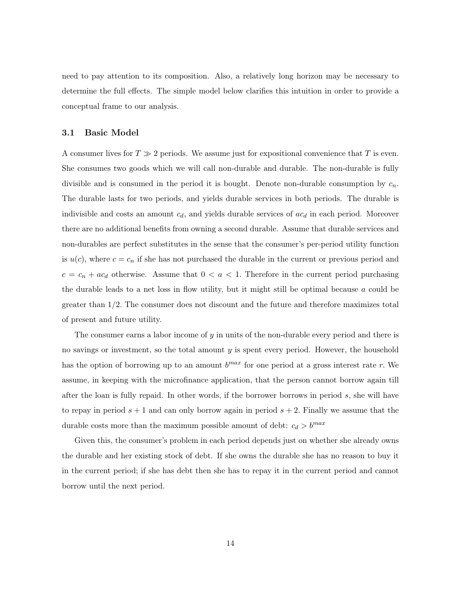need to pay attention to its composition. Also, a relatively long horizon may be necessary to determine the full effects. The simple model below clarifies this intuition in order to provide a conceptual frame to our analysis.

### 3.1 Basic Model

A consumer lives for  $T \gg 2$  periods. We assume just for expositional convenience that T is even. She consumes two goods which we will call non-durable and durable. The non-durable is fully divisible and is consumed in the period it is bought. Denote non-durable consumption by  $c_n$ . The durable lasts for two periods, and yields durable services in both periods. The durable is indivisible and costs an amount  $c_d$ , and yields durable services of  $ac_d$  in each period. Moreover there are no additional benefits from owning a second durable. Assume that durable services and non-durables are perfect substitutes in the sense that the consumer's per-period utility function is  $u(c)$ , where  $c = c_n$  if she has not purchased the durable in the current or previous period and  $c = c_n + ac_d$  otherwise. Assume that  $0 < a < 1$ . Therefore in the current period purchasing the durable leads to a net loss in flow utility, but it might still be optimal because  $a$  could be greater than 1/2. The consumer does not discount and the future and therefore maximizes total of present and future utility.

The consumer earns a labor income of y in units of the non-durable every period and there is no savings or investment, so the total amount y is spent every period. However, the household has the option of borrowing up to an amount  $b^{max}$  for one period at a gross interest rate r. We assume, in keeping with the microfinance application, that the person cannot borrow again till after the loan is fully repaid. In other words, if the borrower borrows in period s, she will have to repay in period  $s + 1$  and can only borrow again in period  $s + 2$ . Finally we assume that the durable costs more than the maximum possible amount of debt:  $c_d > b^{max}$ 

Given this, the consumer's problem in each period depends just on whether she already owns the durable and her existing stock of debt. If she owns the durable she has no reason to buy it in the current period; if she has debt then she has to repay it in the current period and cannot borrow until the next period.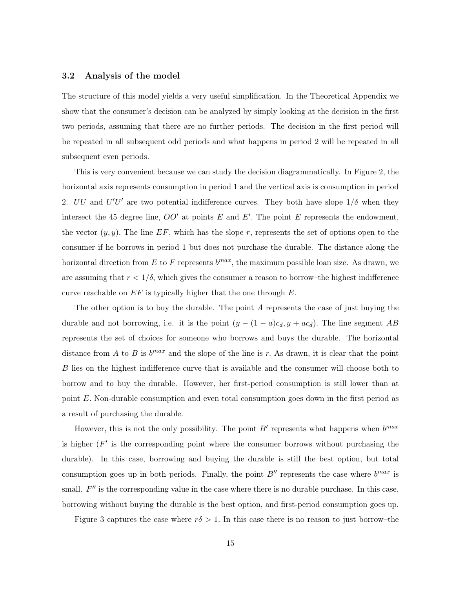### 3.2 Analysis of the model

The structure of this model yields a very useful simplification. In the Theoretical Appendix we show that the consumer's decision can be analyzed by simply looking at the decision in the first two periods, assuming that there are no further periods. The decision in the first period will be repeated in all subsequent odd periods and what happens in period 2 will be repeated in all subsequent even periods.

This is very convenient because we can study the decision diagrammatically. In Figure 2, the horizontal axis represents consumption in period 1 and the vertical axis is consumption in period 2. UU and  $U'U'$  are two potential indifference curves. They both have slope  $1/\delta$  when they intersect the 45 degree line,  $OO'$  at points E and E'. The point E represents the endowment, the vector  $(y, y)$ . The line EF, which has the slope r, represents the set of options open to the consumer if he borrows in period 1 but does not purchase the durable. The distance along the horizontal direction from E to F represents  $b^{max}$ , the maximum possible loan size. As drawn, we are assuming that  $r < 1/\delta$ , which gives the consumer a reason to borrow-the highest indifference curve reachable on  $EF$  is typically higher that the one through  $E$ .

The other option is to buy the durable. The point A represents the case of just buying the durable and not borrowing, i.e. it is the point  $(y - (1 - a)c_d, y + ac_d)$ . The line segment AB represents the set of choices for someone who borrows and buys the durable. The horizontal distance from A to B is  $b^{max}$  and the slope of the line is r. As drawn, it is clear that the point B lies on the highest indifference curve that is available and the consumer will choose both to borrow and to buy the durable. However, her first-period consumption is still lower than at point E. Non-durable consumption and even total consumption goes down in the first period as a result of purchasing the durable.

However, this is not the only possibility. The point  $B'$  represents what happens when  $b^{max}$ is higher  $(F'$  is the corresponding point where the consumer borrows without purchasing the durable). In this case, borrowing and buying the durable is still the best option, but total consumption goes up in both periods. Finally, the point  $B''$  represents the case where  $b^{max}$  is small.  $F''$  is the corresponding value in the case where there is no durable purchase. In this case, borrowing without buying the durable is the best option, and first-period consumption goes up.

Figure 3 captures the case where  $r\delta > 1$ . In this case there is no reason to just borrow-the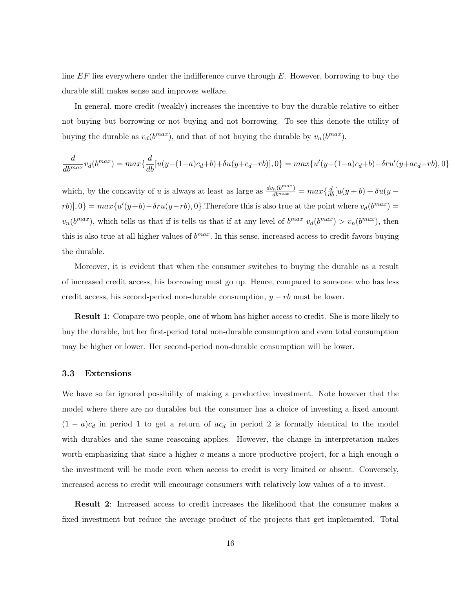line  $EF$  lies everywhere under the indifference curve through  $E$ . However, borrowing to buy the durable still makes sense and improves welfare.

In general, more credit (weakly) increases the incentive to buy the durable relative to either not buying but borrowing or not buying and not borrowing. To see this denote the utility of buying the durable as  $v_d(b^{max})$ , and that of not buying the durable by  $v_n(b^{max})$ .

$$
\frac{d}{db^{max}}v_d(b^{max}) = max\{\frac{d}{db}[u(y-(1-a)c_d+b)+\delta u(y+c_d-rb)],0\} = max\{u'(y-(1-a)c_d+b)-\delta ru'(y+ac_d-rb),0\}
$$

which, by the concavity of u is always at least as large as  $\frac{dv_n(b^{max})}{db^{max}} = max\{\frac{d}{db}[u(y+b) + \delta u(y-b)]\}$  $[rb]$ ,  $[0] = max{u'(y+b) - \delta ru(y-rb)}$ ,  $[0]$ . Therefore this is also true at the point where  $v_d(b^{max}) =$  $v_n(b^{max})$ , which tells us that if is tells us that if at any level of  $b^{max} v_d(b^{max}) > v_n(b^{max})$ , then this is also true at all higher values of  $b^{max}$ . In this sense, increased access to credit favors buying the durable.

Moreover, it is evident that when the consumer switches to buying the durable as a result of increased credit access, his borrowing must go up. Hence, compared to someone who has less credit access, his second-period non-durable consumption,  $y - rb$  must be lower.

Result 1: Compare two people, one of whom has higher access to credit. She is more likely to buy the durable, but her first-period total non-durable consumption and even total consumption may be higher or lower. Her second-period non-durable consumption will be lower.

### 3.3 Extensions

We have so far ignored possibility of making a productive investment. Note however that the model where there are no durables but the consumer has a choice of investing a fixed amount  $(1 - a)c_d$  in period 1 to get a return of  $ac_d$  in period 2 is formally identical to the model with durables and the same reasoning applies. However, the change in interpretation makes worth emphasizing that since a higher  $a$  means a more productive project, for a high enough  $a$ the investment will be made even when access to credit is very limited or absent. Conversely, increased access to credit will encourage consumers with relatively low values of a to invest.

Result 2: Increased access to credit increases the likelihood that the consumer makes a fixed investment but reduce the average product of the projects that get implemented. Total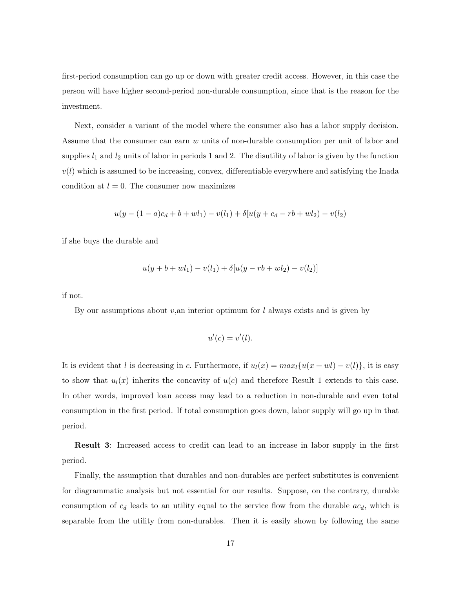first-period consumption can go up or down with greater credit access. However, in this case the person will have higher second-period non-durable consumption, since that is the reason for the investment.

Next, consider a variant of the model where the consumer also has a labor supply decision. Assume that the consumer can earn w units of non-durable consumption per unit of labor and supplies  $l_1$  and  $l_2$  units of labor in periods 1 and 2. The disutility of labor is given by the function  $v(l)$  which is assumed to be increasing, convex, differentiable everywhere and satisfying the Inada condition at  $l = 0$ . The consumer now maximizes

$$
u(y - (1 - a)c_d + b + w l_1) - v(l_1) + \delta[u(y + c_d - rb + w l_2) - v(l_2)]
$$

if she buys the durable and

$$
u(y + b + w l_1) - v(l_1) + \delta [u(y - rb + w l_2) - v(l_2)]
$$

if not.

By our assumptions about  $v,$ an interior optimum for  $l$  always exists and is given by

$$
u'(c) = v'(l).
$$

It is evident that l is decreasing in c. Furthermore, if  $u_l(x) = max_l \{u(x + w_l) - v(l)\}\,$ , it is easy to show that  $u_l(x)$  inherits the concavity of  $u(c)$  and therefore Result 1 extends to this case. In other words, improved loan access may lead to a reduction in non-durable and even total consumption in the first period. If total consumption goes down, labor supply will go up in that period.

Result 3: Increased access to credit can lead to an increase in labor supply in the first period.

Finally, the assumption that durables and non-durables are perfect substitutes is convenient for diagrammatic analysis but not essential for our results. Suppose, on the contrary, durable consumption of  $c_d$  leads to an utility equal to the service flow from the durable  $ac_d$ , which is separable from the utility from non-durables. Then it is easily shown by following the same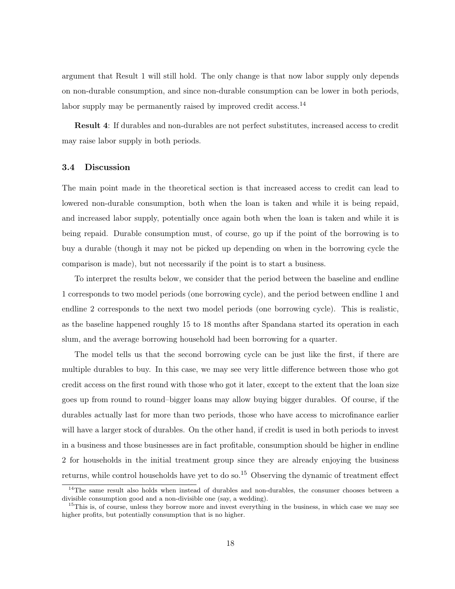argument that Result 1 will still hold. The only change is that now labor supply only depends on non-durable consumption, and since non-durable consumption can be lower in both periods, labor supply may be permanently raised by improved credit access.<sup>14</sup>

Result 4: If durables and non-durables are not perfect substitutes, increased access to credit may raise labor supply in both periods.

### 3.4 Discussion

The main point made in the theoretical section is that increased access to credit can lead to lowered non-durable consumption, both when the loan is taken and while it is being repaid, and increased labor supply, potentially once again both when the loan is taken and while it is being repaid. Durable consumption must, of course, go up if the point of the borrowing is to buy a durable (though it may not be picked up depending on when in the borrowing cycle the comparison is made), but not necessarily if the point is to start a business.

To interpret the results below, we consider that the period between the baseline and endline 1 corresponds to two model periods (one borrowing cycle), and the period between endline 1 and endline 2 corresponds to the next two model periods (one borrowing cycle). This is realistic, as the baseline happened roughly 15 to 18 months after Spandana started its operation in each slum, and the average borrowing household had been borrowing for a quarter.

The model tells us that the second borrowing cycle can be just like the first, if there are multiple durables to buy. In this case, we may see very little difference between those who got credit access on the first round with those who got it later, except to the extent that the loan size goes up from round to round–bigger loans may allow buying bigger durables. Of course, if the durables actually last for more than two periods, those who have access to microfinance earlier will have a larger stock of durables. On the other hand, if credit is used in both periods to invest in a business and those businesses are in fact profitable, consumption should be higher in endline 2 for households in the initial treatment group since they are already enjoying the business returns, while control households have yet to do so.<sup>15</sup> Observing the dynamic of treatment effect

<sup>&</sup>lt;sup>14</sup>The same result also holds when instead of durables and non-durables, the consumer chooses between a divisible consumption good and a non-divisible one (say, a wedding).

<sup>&</sup>lt;sup>15</sup>This is, of course, unless they borrow more and invest everything in the business, in which case we may see higher profits, but potentially consumption that is no higher.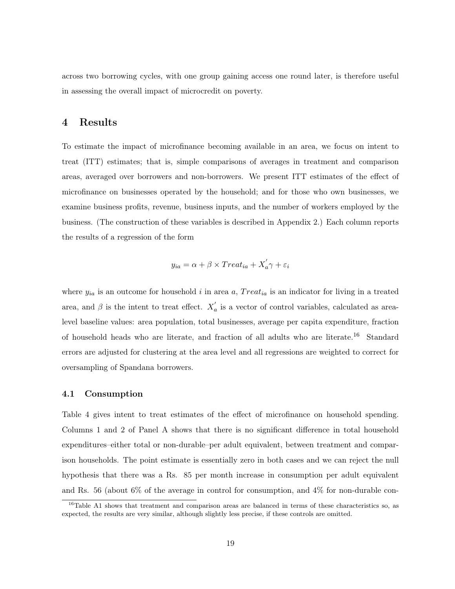across two borrowing cycles, with one group gaining access one round later, is therefore useful in assessing the overall impact of microcredit on poverty.

# 4 Results

To estimate the impact of microfinance becoming available in an area, we focus on intent to treat (ITT) estimates; that is, simple comparisons of averages in treatment and comparison areas, averaged over borrowers and non-borrowers. We present ITT estimates of the effect of microfinance on businesses operated by the household; and for those who own businesses, we examine business profits, revenue, business inputs, and the number of workers employed by the business. (The construction of these variables is described in Appendix 2.) Each column reports the results of a regression of the form

$$
y_{ia} = \alpha + \beta \times Treat_{ia} + X'_a \gamma + \varepsilon_i
$$

where  $y_{ia}$  is an outcome for household i in area a,  $Treat_{ia}$  is an indicator for living in a treated area, and  $\beta$  is the intent to treat effect.  $X'_a$  is a vector of control variables, calculated as arealevel baseline values: area population, total businesses, average per capita expenditure, fraction of household heads who are literate, and fraction of all adults who are literate.<sup>16</sup> Standard errors are adjusted for clustering at the area level and all regressions are weighted to correct for oversampling of Spandana borrowers.

### 4.1 Consumption

Table 4 gives intent to treat estimates of the effect of microfinance on household spending. Columns 1 and 2 of Panel A shows that there is no significant difference in total household expenditures–either total or non-durable–per adult equivalent, between treatment and comparison households. The point estimate is essentially zero in both cases and we can reject the null hypothesis that there was a Rs. 85 per month increase in consumption per adult equivalent and Rs. 56 (about 6% of the average in control for consumption, and 4% for non-durable con-

<sup>&</sup>lt;sup>16</sup>Table A1 shows that treatment and comparison areas are balanced in terms of these characteristics so, as expected, the results are very similar, although slightly less precise, if these controls are omitted.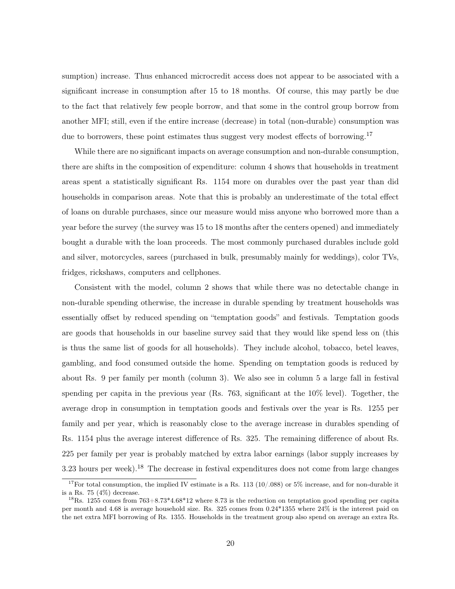sumption) increase. Thus enhanced microcredit access does not appear to be associated with a significant increase in consumption after 15 to 18 months. Of course, this may partly be due to the fact that relatively few people borrow, and that some in the control group borrow from another MFI; still, even if the entire increase (decrease) in total (non-durable) consumption was due to borrowers, these point estimates thus suggest very modest effects of borrowing.<sup>17</sup>

While there are no significant impacts on average consumption and non-durable consumption, there are shifts in the composition of expenditure: column 4 shows that households in treatment areas spent a statistically significant Rs. 1154 more on durables over the past year than did households in comparison areas. Note that this is probably an underestimate of the total effect of loans on durable purchases, since our measure would miss anyone who borrowed more than a year before the survey (the survey was 15 to 18 months after the centers opened) and immediately bought a durable with the loan proceeds. The most commonly purchased durables include gold and silver, motorcycles, sarees (purchased in bulk, presumably mainly for weddings), color TVs, fridges, rickshaws, computers and cellphones.

Consistent with the model, column 2 shows that while there was no detectable change in non-durable spending otherwise, the increase in durable spending by treatment households was essentially offset by reduced spending on "temptation goods" and festivals. Temptation goods are goods that households in our baseline survey said that they would like spend less on (this is thus the same list of goods for all households). They include alcohol, tobacco, betel leaves, gambling, and food consumed outside the home. Spending on temptation goods is reduced by about Rs. 9 per family per month (column 3). We also see in column 5 a large fall in festival spending per capita in the previous year (Rs. 763, significant at the 10% level). Together, the average drop in consumption in temptation goods and festivals over the year is Rs. 1255 per family and per year, which is reasonably close to the average increase in durables spending of Rs. 1154 plus the average interest difference of Rs. 325. The remaining difference of about Rs. 225 per family per year is probably matched by extra labor earnings (labor supply increases by 3.23 hours per week).<sup>18</sup> The decrease in festival expenditures does not come from large changes

<sup>&</sup>lt;sup>17</sup>For total consumption, the implied IV estimate is a Rs. 113 (10/.088) or 5% increase, and for non-durable it is a Rs. 75  $(4\%)$  decrease.

<sup>&</sup>lt;sup>18</sup>Rs. 1255 comes from  $763+8.73*4.68*12$  where 8.73 is the reduction on temptation good spending per capita per month and 4.68 is average household size. Rs. 325 comes from 0.24\*1355 where 24% is the interest paid on the net extra MFI borrowing of Rs. 1355. Households in the treatment group also spend on average an extra Rs.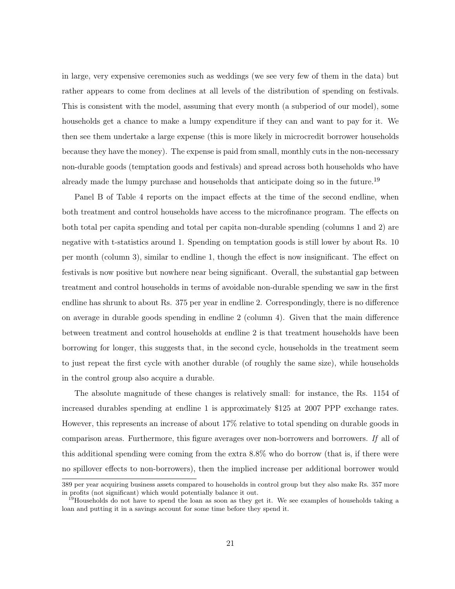in large, very expensive ceremonies such as weddings (we see very few of them in the data) but rather appears to come from declines at all levels of the distribution of spending on festivals. This is consistent with the model, assuming that every month (a subperiod of our model), some households get a chance to make a lumpy expenditure if they can and want to pay for it. We then see them undertake a large expense (this is more likely in microcredit borrower households because they have the money). The expense is paid from small, monthly cuts in the non-necessary non-durable goods (temptation goods and festivals) and spread across both households who have already made the lumpy purchase and households that anticipate doing so in the future.<sup>19</sup>

Panel B of Table 4 reports on the impact effects at the time of the second endline, when both treatment and control households have access to the microfinance program. The effects on both total per capita spending and total per capita non-durable spending (columns 1 and 2) are negative with t-statistics around 1. Spending on temptation goods is still lower by about Rs. 10 per month (column 3), similar to endline 1, though the effect is now insignificant. The effect on festivals is now positive but nowhere near being significant. Overall, the substantial gap between treatment and control households in terms of avoidable non-durable spending we saw in the first endline has shrunk to about Rs. 375 per year in endline 2. Correspondingly, there is no difference on average in durable goods spending in endline 2 (column 4). Given that the main difference between treatment and control households at endline 2 is that treatment households have been borrowing for longer, this suggests that, in the second cycle, households in the treatment seem to just repeat the first cycle with another durable (of roughly the same size), while households in the control group also acquire a durable.

The absolute magnitude of these changes is relatively small: for instance, the Rs. 1154 of increased durables spending at endline 1 is approximately \$125 at 2007 PPP exchange rates. However, this represents an increase of about 17% relative to total spending on durable goods in comparison areas. Furthermore, this figure averages over non-borrowers and borrowers. If all of this additional spending were coming from the extra 8.8% who do borrow (that is, if there were no spillover effects to non-borrowers), then the implied increase per additional borrower would

<sup>389</sup> per year acquiring business assets compared to households in control group but they also make Rs. 357 more in profits (not significant) which would potentially balance it out.

<sup>&</sup>lt;sup>19</sup>Households do not have to spend the loan as soon as they get it. We see examples of households taking a loan and putting it in a savings account for some time before they spend it.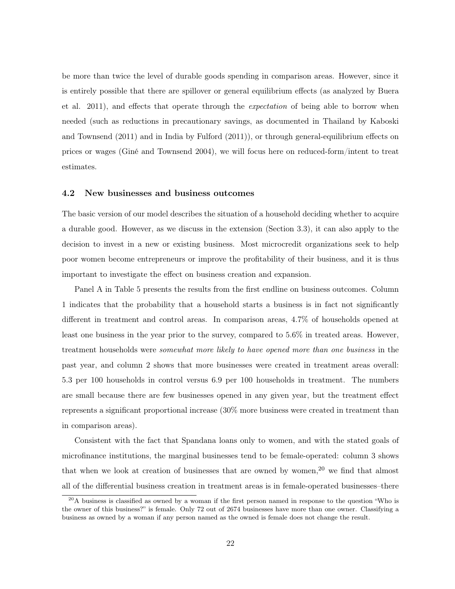be more than twice the level of durable goods spending in comparison areas. However, since it is entirely possible that there are spillover or general equilibrium effects (as analyzed by Buera et al. 2011), and effects that operate through the expectation of being able to borrow when needed (such as reductions in precautionary savings, as documented in Thailand by Kaboski and Townsend (2011) and in India by Fulford (2011)), or through general-equilibrium effects on prices or wages (Giné and Townsend 2004), we will focus here on reduced-form/intent to treat estimates.

### 4.2 New businesses and business outcomes

The basic version of our model describes the situation of a household deciding whether to acquire a durable good. However, as we discuss in the extension (Section 3.3), it can also apply to the decision to invest in a new or existing business. Most microcredit organizations seek to help poor women become entrepreneurs or improve the profitability of their business, and it is thus important to investigate the effect on business creation and expansion.

Panel A in Table 5 presents the results from the first endline on business outcomes. Column 1 indicates that the probability that a household starts a business is in fact not significantly different in treatment and control areas. In comparison areas, 4.7% of households opened at least one business in the year prior to the survey, compared to 5.6% in treated areas. However, treatment households were somewhat more likely to have opened more than one business in the past year, and column 2 shows that more businesses were created in treatment areas overall: 5.3 per 100 households in control versus 6.9 per 100 households in treatment. The numbers are small because there are few businesses opened in any given year, but the treatment effect represents a significant proportional increase (30% more business were created in treatment than in comparison areas).

Consistent with the fact that Spandana loans only to women, and with the stated goals of microfinance institutions, the marginal businesses tend to be female-operated: column 3 shows that when we look at creation of businesses that are owned by women,  $20$  we find that almost all of the differential business creation in treatment areas is in female-operated businesses–there

 $^{20}$ A business is classified as owned by a woman if the first person named in response to the question "Who is the owner of this business?" is female. Only 72 out of 2674 businesses have more than one owner. Classifying a business as owned by a woman if any person named as the owned is female does not change the result.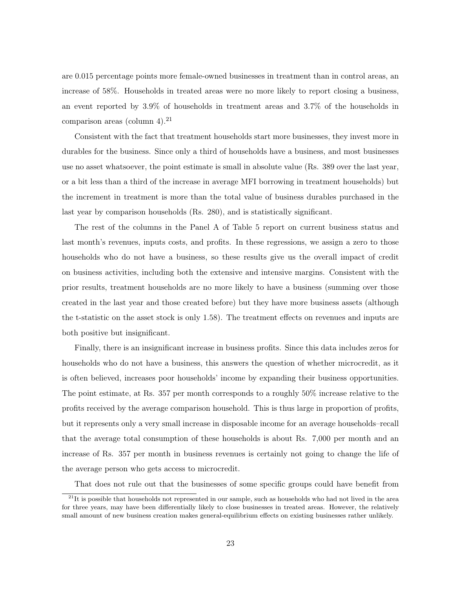are 0.015 percentage points more female-owned businesses in treatment than in control areas, an increase of 58%. Households in treated areas were no more likely to report closing a business, an event reported by 3.9% of households in treatment areas and 3.7% of the households in comparison areas (column 4).<sup>21</sup>

Consistent with the fact that treatment households start more businesses, they invest more in durables for the business. Since only a third of households have a business, and most businesses use no asset whatsoever, the point estimate is small in absolute value (Rs. 389 over the last year, or a bit less than a third of the increase in average MFI borrowing in treatment households) but the increment in treatment is more than the total value of business durables purchased in the last year by comparison households (Rs. 280), and is statistically significant.

The rest of the columns in the Panel A of Table 5 report on current business status and last month's revenues, inputs costs, and profits. In these regressions, we assign a zero to those households who do not have a business, so these results give us the overall impact of credit on business activities, including both the extensive and intensive margins. Consistent with the prior results, treatment households are no more likely to have a business (summing over those created in the last year and those created before) but they have more business assets (although the t-statistic on the asset stock is only 1.58). The treatment effects on revenues and inputs are both positive but insignificant.

Finally, there is an insignificant increase in business profits. Since this data includes zeros for households who do not have a business, this answers the question of whether microcredit, as it is often believed, increases poor households' income by expanding their business opportunities. The point estimate, at Rs. 357 per month corresponds to a roughly 50% increase relative to the profits received by the average comparison household. This is thus large in proportion of profits, but it represents only a very small increase in disposable income for an average households–recall that the average total consumption of these households is about Rs. 7,000 per month and an increase of Rs. 357 per month in business revenues is certainly not going to change the life of the average person who gets access to microcredit.

That does not rule out that the businesses of some specific groups could have benefit from

 $^{21}$ It is possible that households not represented in our sample, such as households who had not lived in the area for three years, may have been differentially likely to close businesses in treated areas. However, the relatively small amount of new business creation makes general-equilibrium effects on existing businesses rather unlikely.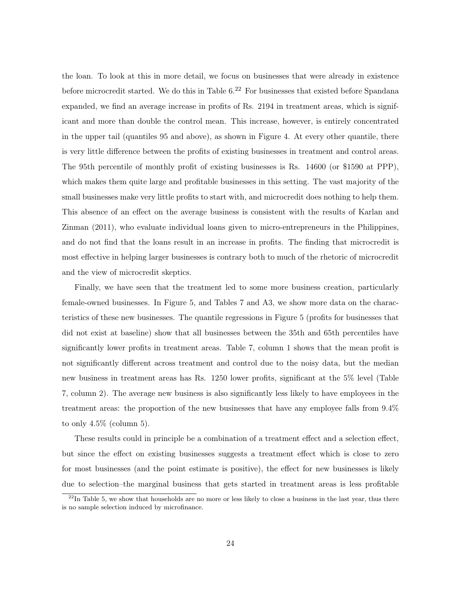the loan. To look at this in more detail, we focus on businesses that were already in existence before microcredit started. We do this in Table  $6<sup>22</sup>$  For businesses that existed before Spandana expanded, we find an average increase in profits of Rs. 2194 in treatment areas, which is significant and more than double the control mean. This increase, however, is entirely concentrated in the upper tail (quantiles 95 and above), as shown in Figure 4. At every other quantile, there is very little difference between the profits of existing businesses in treatment and control areas. The 95th percentile of monthly profit of existing businesses is Rs. 14600 (or \$1590 at PPP), which makes them quite large and profitable businesses in this setting. The vast majority of the small businesses make very little profits to start with, and microcredit does nothing to help them. This absence of an effect on the average business is consistent with the results of Karlan and Zinman (2011), who evaluate individual loans given to micro-entrepreneurs in the Philippines, and do not find that the loans result in an increase in profits. The finding that microcredit is most effective in helping larger businesses is contrary both to much of the rhetoric of microcredit and the view of microcredit skeptics.

Finally, we have seen that the treatment led to some more business creation, particularly female-owned businesses. In Figure 5, and Tables 7 and A3, we show more data on the characteristics of these new businesses. The quantile regressions in Figure 5 (profits for businesses that did not exist at baseline) show that all businesses between the 35th and 65th percentiles have significantly lower profits in treatment areas. Table 7, column 1 shows that the mean profit is not significantly different across treatment and control due to the noisy data, but the median new business in treatment areas has Rs. 1250 lower profits, significant at the 5% level (Table 7, column 2). The average new business is also significantly less likely to have employees in the treatment areas: the proportion of the new businesses that have any employee falls from 9.4% to only  $4.5\%$  (column 5).

These results could in principle be a combination of a treatment effect and a selection effect, but since the effect on existing businesses suggests a treatment effect which is close to zero for most businesses (and the point estimate is positive), the effect for new businesses is likely due to selection–the marginal business that gets started in treatment areas is less profitable

 $^{22}$ In Table 5, we show that households are no more or less likely to close a business in the last year, thus there is no sample selection induced by microfinance.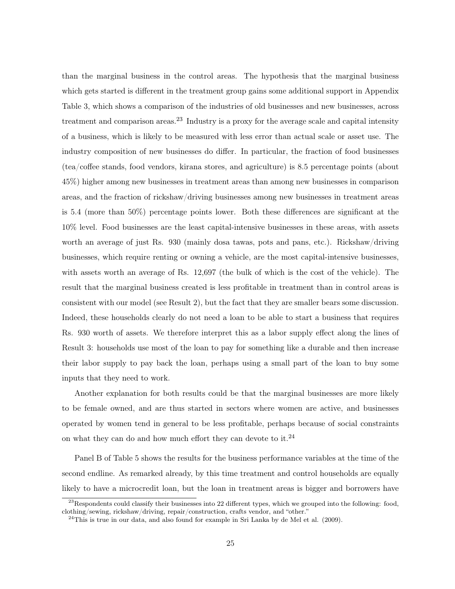than the marginal business in the control areas. The hypothesis that the marginal business which gets started is different in the treatment group gains some additional support in Appendix Table 3, which shows a comparison of the industries of old businesses and new businesses, across treatment and comparison areas.<sup>23</sup> Industry is a proxy for the average scale and capital intensity of a business, which is likely to be measured with less error than actual scale or asset use. The industry composition of new businesses do differ. In particular, the fraction of food businesses (tea/coffee stands, food vendors, kirana stores, and agriculture) is 8.5 percentage points (about 45%) higher among new businesses in treatment areas than among new businesses in comparison areas, and the fraction of rickshaw/driving businesses among new businesses in treatment areas is 5.4 (more than 50%) percentage points lower. Both these differences are significant at the 10% level. Food businesses are the least capital-intensive businesses in these areas, with assets worth an average of just Rs. 930 (mainly dosa tawas, pots and pans, etc.). Rickshaw/driving businesses, which require renting or owning a vehicle, are the most capital-intensive businesses, with assets worth an average of Rs. 12,697 (the bulk of which is the cost of the vehicle). The result that the marginal business created is less profitable in treatment than in control areas is consistent with our model (see Result 2), but the fact that they are smaller bears some discussion. Indeed, these households clearly do not need a loan to be able to start a business that requires Rs. 930 worth of assets. We therefore interpret this as a labor supply effect along the lines of Result 3: households use most of the loan to pay for something like a durable and then increase their labor supply to pay back the loan, perhaps using a small part of the loan to buy some inputs that they need to work.

Another explanation for both results could be that the marginal businesses are more likely to be female owned, and are thus started in sectors where women are active, and businesses operated by women tend in general to be less profitable, perhaps because of social constraints on what they can do and how much effort they can devote to it.<sup>24</sup>

Panel B of Table 5 shows the results for the business performance variables at the time of the second endline. As remarked already, by this time treatment and control households are equally likely to have a microcredit loan, but the loan in treatment areas is bigger and borrowers have

 $^{23}$ Respondents could classify their businesses into 22 different types, which we grouped into the following: food, clothing/sewing, rickshaw/driving, repair/construction, crafts vendor, and "other."

 $24$ This is true in our data, and also found for example in Sri Lanka by de Mel et al. (2009).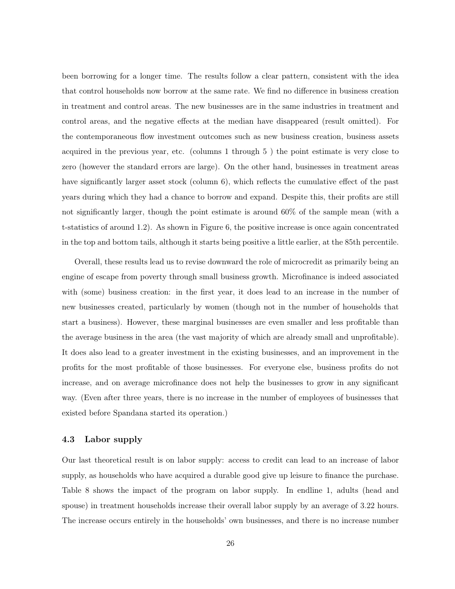been borrowing for a longer time. The results follow a clear pattern, consistent with the idea that control households now borrow at the same rate. We find no difference in business creation in treatment and control areas. The new businesses are in the same industries in treatment and control areas, and the negative effects at the median have disappeared (result omitted). For the contemporaneous flow investment outcomes such as new business creation, business assets acquired in the previous year, etc. (columns 1 through 5 ) the point estimate is very close to zero (however the standard errors are large). On the other hand, businesses in treatment areas have significantly larger asset stock (column 6), which reflects the cumulative effect of the past years during which they had a chance to borrow and expand. Despite this, their profits are still not significantly larger, though the point estimate is around 60% of the sample mean (with a t-statistics of around 1.2). As shown in Figure 6, the positive increase is once again concentrated in the top and bottom tails, although it starts being positive a little earlier, at the 85th percentile.

Overall, these results lead us to revise downward the role of microcredit as primarily being an engine of escape from poverty through small business growth. Microfinance is indeed associated with (some) business creation: in the first year, it does lead to an increase in the number of new businesses created, particularly by women (though not in the number of households that start a business). However, these marginal businesses are even smaller and less profitable than the average business in the area (the vast majority of which are already small and unprofitable). It does also lead to a greater investment in the existing businesses, and an improvement in the profits for the most profitable of those businesses. For everyone else, business profits do not increase, and on average microfinance does not help the businesses to grow in any significant way. (Even after three years, there is no increase in the number of employees of businesses that existed before Spandana started its operation.)

### 4.3 Labor supply

Our last theoretical result is on labor supply: access to credit can lead to an increase of labor supply, as households who have acquired a durable good give up leisure to finance the purchase. Table 8 shows the impact of the program on labor supply. In endline 1, adults (head and spouse) in treatment households increase their overall labor supply by an average of 3.22 hours. The increase occurs entirely in the households' own businesses, and there is no increase number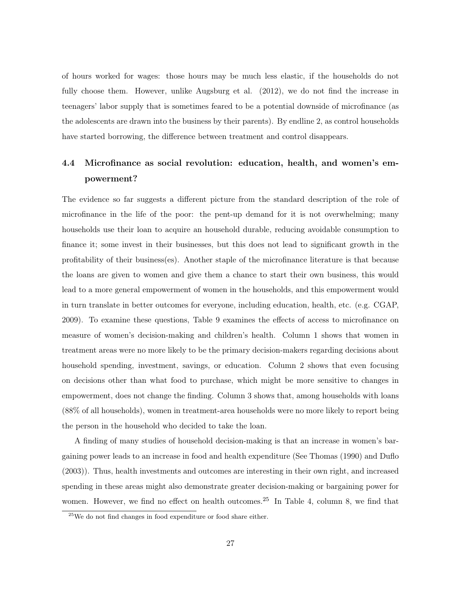of hours worked for wages: those hours may be much less elastic, if the households do not fully choose them. However, unlike Augsburg et al. (2012), we do not find the increase in teenagers' labor supply that is sometimes feared to be a potential downside of microfinance (as the adolescents are drawn into the business by their parents). By endline 2, as control households have started borrowing, the difference between treatment and control disappears.

# 4.4 Microfinance as social revolution: education, health, and women's empowerment?

The evidence so far suggests a different picture from the standard description of the role of microfinance in the life of the poor: the pent-up demand for it is not overwhelming; many households use their loan to acquire an household durable, reducing avoidable consumption to finance it; some invest in their businesses, but this does not lead to significant growth in the profitability of their business(es). Another staple of the microfinance literature is that because the loans are given to women and give them a chance to start their own business, this would lead to a more general empowerment of women in the households, and this empowerment would in turn translate in better outcomes for everyone, including education, health, etc. (e.g. CGAP, 2009). To examine these questions, Table 9 examines the effects of access to microfinance on measure of women's decision-making and children's health. Column 1 shows that women in treatment areas were no more likely to be the primary decision-makers regarding decisions about household spending, investment, savings, or education. Column 2 shows that even focusing on decisions other than what food to purchase, which might be more sensitive to changes in empowerment, does not change the finding. Column 3 shows that, among households with loans (88% of all households), women in treatment-area households were no more likely to report being the person in the household who decided to take the loan.

A finding of many studies of household decision-making is that an increase in women's bargaining power leads to an increase in food and health expenditure (See Thomas (1990) and Duflo (2003)). Thus, health investments and outcomes are interesting in their own right, and increased spending in these areas might also demonstrate greater decision-making or bargaining power for women. However, we find no effect on health outcomes.<sup>25</sup> In Table 4, column 8, we find that

<sup>25</sup>We do not find changes in food expenditure or food share either.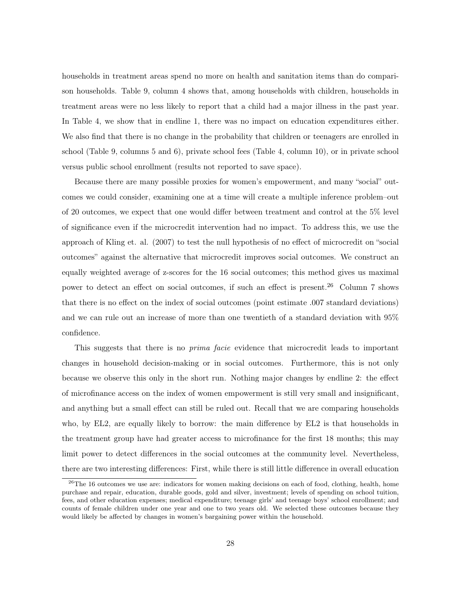households in treatment areas spend no more on health and sanitation items than do comparison households. Table 9, column 4 shows that, among households with children, households in treatment areas were no less likely to report that a child had a major illness in the past year. In Table 4, we show that in endline 1, there was no impact on education expenditures either. We also find that there is no change in the probability that children or teenagers are enrolled in school (Table 9, columns 5 and 6), private school fees (Table 4, column 10), or in private school versus public school enrollment (results not reported to save space).

Because there are many possible proxies for women's empowerment, and many "social" outcomes we could consider, examining one at a time will create a multiple inference problem–out of 20 outcomes, we expect that one would differ between treatment and control at the 5% level of significance even if the microcredit intervention had no impact. To address this, we use the approach of Kling et. al. (2007) to test the null hypothesis of no effect of microcredit on "social outcomes" against the alternative that microcredit improves social outcomes. We construct an equally weighted average of z-scores for the 16 social outcomes; this method gives us maximal power to detect an effect on social outcomes, if such an effect is present.<sup>26</sup> Column 7 shows that there is no effect on the index of social outcomes (point estimate .007 standard deviations) and we can rule out an increase of more than one twentieth of a standard deviation with 95% confidence.

This suggests that there is no prima facie evidence that microcredit leads to important changes in household decision-making or in social outcomes. Furthermore, this is not only because we observe this only in the short run. Nothing major changes by endline 2: the effect of microfinance access on the index of women empowerment is still very small and insignificant, and anything but a small effect can still be ruled out. Recall that we are comparing households who, by EL2, are equally likely to borrow: the main difference by EL2 is that households in the treatment group have had greater access to microfinance for the first 18 months; this may limit power to detect differences in the social outcomes at the community level. Nevertheless, there are two interesting differences: First, while there is still little difference in overall education

 $26$ The 16 outcomes we use are: indicators for women making decisions on each of food, clothing, health, home purchase and repair, education, durable goods, gold and silver, investment; levels of spending on school tuition, fees, and other education expenses; medical expenditure; teenage girls' and teenage boys' school enrollment; and counts of female children under one year and one to two years old. We selected these outcomes because they would likely be affected by changes in women's bargaining power within the household.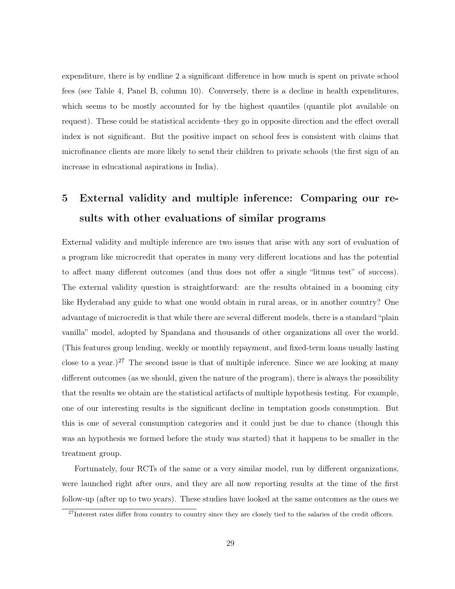expenditure, there is by endline 2 a significant difference in how much is spent on private school fees (see Table 4, Panel B, column 10). Conversely, there is a decline in health expenditures, which seems to be mostly accounted for by the highest quantiles (quantile plot available on request). These could be statistical accidents–they go in opposite direction and the effect overall index is not significant. But the positive impact on school fees is consistent with claims that microfinance clients are more likely to send their children to private schools (the first sign of an increase in educational aspirations in India).

# 5 External validity and multiple inference: Comparing our results with other evaluations of similar programs

External validity and multiple inference are two issues that arise with any sort of evaluation of a program like microcredit that operates in many very different locations and has the potential to affect many different outcomes (and thus does not offer a single "litmus test" of success). The external validity question is straightforward: are the results obtained in a booming city like Hyderabad any guide to what one would obtain in rural areas, or in another country? One advantage of microcredit is that while there are several different models, there is a standard "plain vanilla" model, adopted by Spandana and thousands of other organizations all over the world. (This features group lending, weekly or monthly repayment, and fixed-term loans usually lasting close to a year.)<sup>27</sup> The second issue is that of multiple inference. Since we are looking at many different outcomes (as we should, given the nature of the program), there is always the possibility that the results we obtain are the statistical artifacts of multiple hypothesis testing. For example, one of our interesting results is the significant decline in temptation goods consumption. But this is one of several consumption categories and it could just be due to chance (though this was an hypothesis we formed before the study was started) that it happens to be smaller in the treatment group.

Fortunately, four RCTs of the same or a very similar model, run by different organizations, were launched right after ours, and they are all now reporting results at the time of the first follow-up (after up to two years). These studies have looked at the same outcomes as the ones we

 $^{27}$ Interest rates differ from country to country since they are closely tied to the salaries of the credit officers.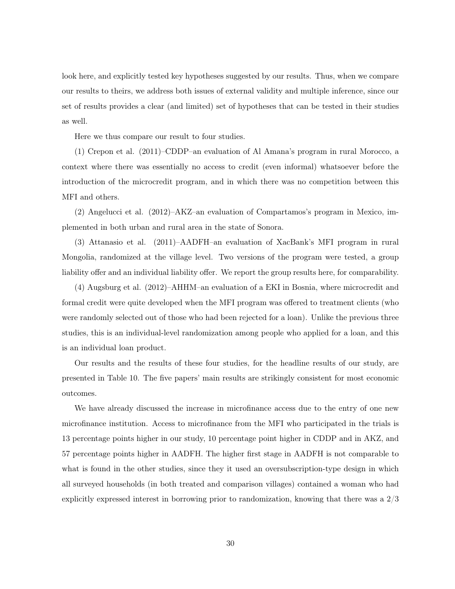look here, and explicitly tested key hypotheses suggested by our results. Thus, when we compare our results to theirs, we address both issues of external validity and multiple inference, since our set of results provides a clear (and limited) set of hypotheses that can be tested in their studies as well.

Here we thus compare our result to four studies.

(1) Crepon et al. (2011)–CDDP–an evaluation of Al Amana's program in rural Morocco, a context where there was essentially no access to credit (even informal) whatsoever before the introduction of the microcredit program, and in which there was no competition between this MFI and others.

(2) Angelucci et al. (2012)–AKZ–an evaluation of Compartamos's program in Mexico, implemented in both urban and rural area in the state of Sonora.

(3) Attanasio et al. (2011)–AADFH–an evaluation of XacBank's MFI program in rural Mongolia, randomized at the village level. Two versions of the program were tested, a group liability offer and an individual liability offer. We report the group results here, for comparability.

(4) Augsburg et al. (2012)–AHHM–an evaluation of a EKI in Bosnia, where microcredit and formal credit were quite developed when the MFI program was offered to treatment clients (who were randomly selected out of those who had been rejected for a loan). Unlike the previous three studies, this is an individual-level randomization among people who applied for a loan, and this is an individual loan product.

Our results and the results of these four studies, for the headline results of our study, are presented in Table 10. The five papers' main results are strikingly consistent for most economic outcomes.

We have already discussed the increase in microfinance access due to the entry of one new microfinance institution. Access to microfinance from the MFI who participated in the trials is 13 percentage points higher in our study, 10 percentage point higher in CDDP and in AKZ, and 57 percentage points higher in AADFH. The higher first stage in AADFH is not comparable to what is found in the other studies, since they it used an oversubscription-type design in which all surveyed households (in both treated and comparison villages) contained a woman who had explicitly expressed interest in borrowing prior to randomization, knowing that there was a 2/3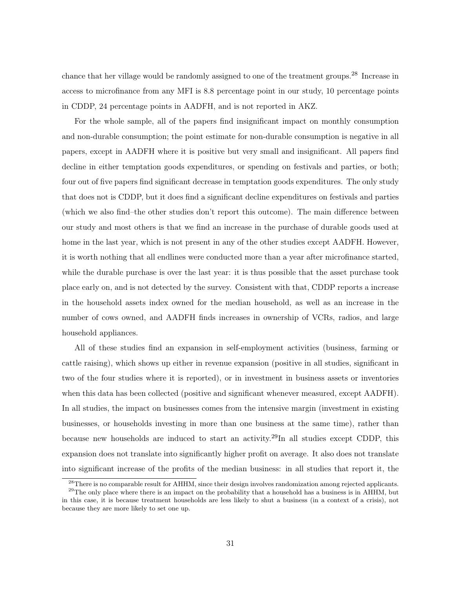chance that her village would be randomly assigned to one of the treatment groups.<sup>28</sup> Increase in access to microfinance from any MFI is 8.8 percentage point in our study, 10 percentage points in CDDP, 24 percentage points in AADFH, and is not reported in AKZ.

For the whole sample, all of the papers find insignificant impact on monthly consumption and non-durable consumption; the point estimate for non-durable consumption is negative in all papers, except in AADFH where it is positive but very small and insignificant. All papers find decline in either temptation goods expenditures, or spending on festivals and parties, or both; four out of five papers find significant decrease in temptation goods expenditures. The only study that does not is CDDP, but it does find a significant decline expenditures on festivals and parties (which we also find–the other studies don't report this outcome). The main difference between our study and most others is that we find an increase in the purchase of durable goods used at home in the last year, which is not present in any of the other studies except AADFH. However, it is worth nothing that all endlines were conducted more than a year after microfinance started, while the durable purchase is over the last year: it is thus possible that the asset purchase took place early on, and is not detected by the survey. Consistent with that, CDDP reports a increase in the household assets index owned for the median household, as well as an increase in the number of cows owned, and AADFH finds increases in ownership of VCRs, radios, and large household appliances.

All of these studies find an expansion in self-employment activities (business, farming or cattle raising), which shows up either in revenue expansion (positive in all studies, significant in two of the four studies where it is reported), or in investment in business assets or inventories when this data has been collected (positive and significant whenever measured, except AADFH). In all studies, the impact on businesses comes from the intensive margin (investment in existing businesses, or households investing in more than one business at the same time), rather than because new households are induced to start an activity.<sup>29</sup>In all studies except CDDP, this expansion does not translate into significantly higher profit on average. It also does not translate into significant increase of the profits of the median business: in all studies that report it, the

<sup>&</sup>lt;sup>28</sup>There is no comparable result for AHHM, since their design involves randomization among rejected applicants. <sup>29</sup>The only place where there is an impact on the probability that a household has a business is in AHHM, but

in this case, it is because treatment households are less likely to shut a business (in a context of a crisis), not because they are more likely to set one up.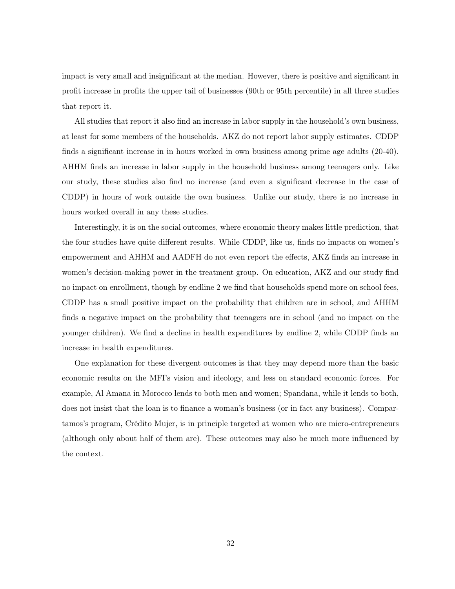impact is very small and insignificant at the median. However, there is positive and significant in profit increase in profits the upper tail of businesses (90th or 95th percentile) in all three studies that report it.

All studies that report it also find an increase in labor supply in the household's own business, at least for some members of the households. AKZ do not report labor supply estimates. CDDP finds a significant increase in in hours worked in own business among prime age adults (20-40). AHHM finds an increase in labor supply in the household business among teenagers only. Like our study, these studies also find no increase (and even a significant decrease in the case of CDDP) in hours of work outside the own business. Unlike our study, there is no increase in hours worked overall in any these studies.

Interestingly, it is on the social outcomes, where economic theory makes little prediction, that the four studies have quite different results. While CDDP, like us, finds no impacts on women's empowerment and AHHM and AADFH do not even report the effects, AKZ finds an increase in women's decision-making power in the treatment group. On education, AKZ and our study find no impact on enrollment, though by endline 2 we find that households spend more on school fees, CDDP has a small positive impact on the probability that children are in school, and AHHM finds a negative impact on the probability that teenagers are in school (and no impact on the younger children). We find a decline in health expenditures by endline 2, while CDDP finds an increase in health expenditures.

One explanation for these divergent outcomes is that they may depend more than the basic economic results on the MFI's vision and ideology, and less on standard economic forces. For example, Al Amana in Morocco lends to both men and women; Spandana, while it lends to both, does not insist that the loan is to finance a woman's business (or in fact any business). Compartamos's program, Crédito Mujer, is in principle targeted at women who are micro-entrepreneurs (although only about half of them are). These outcomes may also be much more influenced by the context.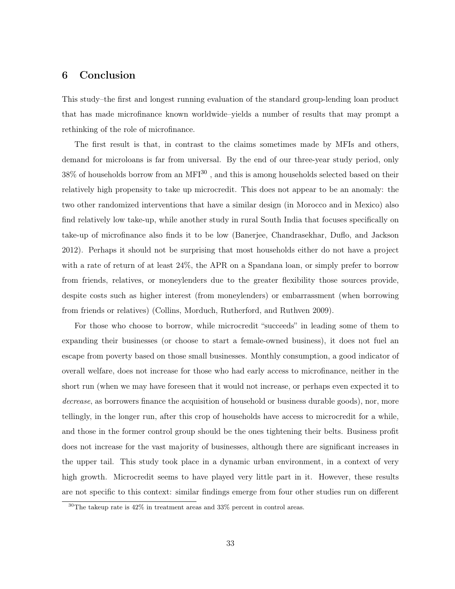# 6 Conclusion

This study–the first and longest running evaluation of the standard group-lending loan product that has made microfinance known worldwide–yields a number of results that may prompt a rethinking of the role of microfinance.

The first result is that, in contrast to the claims sometimes made by MFIs and others, demand for microloans is far from universal. By the end of our three-year study period, only  $38\%$  of households borrow from an MFI $^{30}$ , and this is among households selected based on their relatively high propensity to take up microcredit. This does not appear to be an anomaly: the two other randomized interventions that have a similar design (in Morocco and in Mexico) also find relatively low take-up, while another study in rural South India that focuses specifically on take-up of microfinance also finds it to be low (Banerjee, Chandrasekhar, Duflo, and Jackson 2012). Perhaps it should not be surprising that most households either do not have a project with a rate of return of at least 24%, the APR on a Spandana loan, or simply prefer to borrow from friends, relatives, or moneylenders due to the greater flexibility those sources provide, despite costs such as higher interest (from moneylenders) or embarrassment (when borrowing from friends or relatives) (Collins, Morduch, Rutherford, and Ruthven 2009).

For those who choose to borrow, while microcredit "succeeds" in leading some of them to expanding their businesses (or choose to start a female-owned business), it does not fuel an escape from poverty based on those small businesses. Monthly consumption, a good indicator of overall welfare, does not increase for those who had early access to microfinance, neither in the short run (when we may have foreseen that it would not increase, or perhaps even expected it to decrease, as borrowers finance the acquisition of household or business durable goods), nor, more tellingly, in the longer run, after this crop of households have access to microcredit for a while, and those in the former control group should be the ones tightening their belts. Business profit does not increase for the vast majority of businesses, although there are significant increases in the upper tail. This study took place in a dynamic urban environment, in a context of very high growth. Microcredit seems to have played very little part in it. However, these results are not specific to this context: similar findings emerge from four other studies run on different

 $30$ The takeup rate is  $42\%$  in treatment areas and  $33\%$  percent in control areas.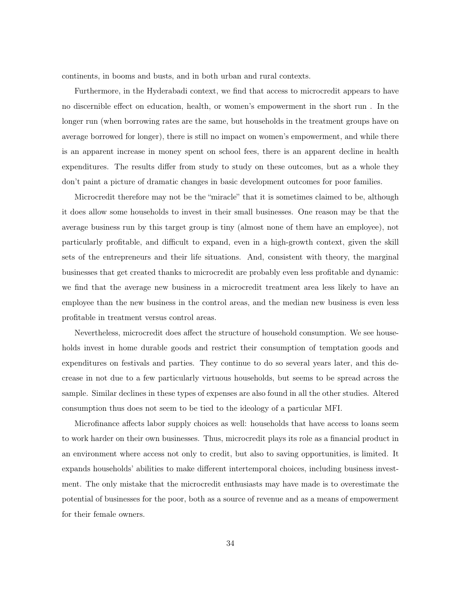continents, in booms and busts, and in both urban and rural contexts.

Furthermore, in the Hyderabadi context, we find that access to microcredit appears to have no discernible effect on education, health, or women's empowerment in the short run . In the longer run (when borrowing rates are the same, but households in the treatment groups have on average borrowed for longer), there is still no impact on women's empowerment, and while there is an apparent increase in money spent on school fees, there is an apparent decline in health expenditures. The results differ from study to study on these outcomes, but as a whole they don't paint a picture of dramatic changes in basic development outcomes for poor families.

Microcredit therefore may not be the "miracle" that it is sometimes claimed to be, although it does allow some households to invest in their small businesses. One reason may be that the average business run by this target group is tiny (almost none of them have an employee), not particularly profitable, and difficult to expand, even in a high-growth context, given the skill sets of the entrepreneurs and their life situations. And, consistent with theory, the marginal businesses that get created thanks to microcredit are probably even less profitable and dynamic: we find that the average new business in a microcredit treatment area less likely to have an employee than the new business in the control areas, and the median new business is even less profitable in treatment versus control areas.

Nevertheless, microcredit does affect the structure of household consumption. We see households invest in home durable goods and restrict their consumption of temptation goods and expenditures on festivals and parties. They continue to do so several years later, and this decrease in not due to a few particularly virtuous households, but seems to be spread across the sample. Similar declines in these types of expenses are also found in all the other studies. Altered consumption thus does not seem to be tied to the ideology of a particular MFI.

Microfinance affects labor supply choices as well: households that have access to loans seem to work harder on their own businesses. Thus, microcredit plays its role as a financial product in an environment where access not only to credit, but also to saving opportunities, is limited. It expands households' abilities to make different intertemporal choices, including business investment. The only mistake that the microcredit enthusiasts may have made is to overestimate the potential of businesses for the poor, both as a source of revenue and as a means of empowerment for their female owners.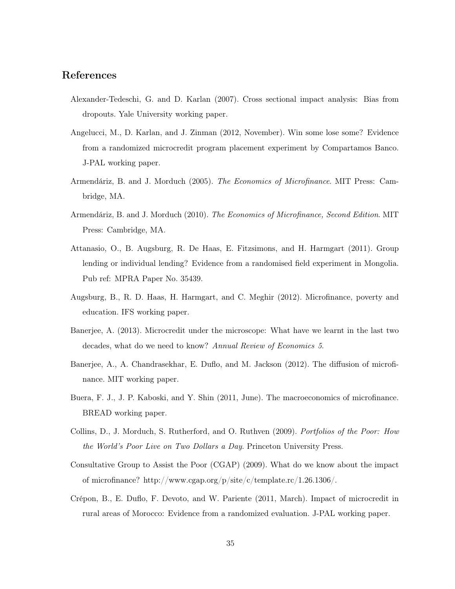# References

- Alexander-Tedeschi, G. and D. Karlan (2007). Cross sectional impact analysis: Bias from dropouts. Yale University working paper.
- Angelucci, M., D. Karlan, and J. Zinman (2012, November). Win some lose some? Evidence from a randomized microcredit program placement experiment by Compartamos Banco. J-PAL working paper.
- Armendáriz, B. and J. Morduch (2005). The Economics of Microfinance. MIT Press: Cambridge, MA.
- Armendáriz, B. and J. Morduch (2010). The Economics of Microfinance, Second Edition. MIT Press: Cambridge, MA.
- Attanasio, O., B. Augsburg, R. De Haas, E. Fitzsimons, and H. Harmgart (2011). Group lending or individual lending? Evidence from a randomised field experiment in Mongolia. Pub ref: MPRA Paper No. 35439.
- Augsburg, B., R. D. Haas, H. Harmgart, and C. Meghir (2012). Microfinance, poverty and education. IFS working paper.
- Banerjee, A. (2013). Microcredit under the microscope: What have we learnt in the last two decades, what do we need to know? Annual Review of Economics 5.
- Banerjee, A., A. Chandrasekhar, E. Duflo, and M. Jackson (2012). The diffusion of microfinance. MIT working paper.
- Buera, F. J., J. P. Kaboski, and Y. Shin (2011, June). The macroeconomics of microfinance. BREAD working paper.
- Collins, D., J. Morduch, S. Rutherford, and O. Ruthven (2009). Portfolios of the Poor: How the World's Poor Live on Two Dollars a Day. Princeton University Press.
- Consultative Group to Assist the Poor (CGAP) (2009). What do we know about the impact of microfinance? http://www.cgap.org/p/site/c/template.rc/1.26.1306/.
- Crépon, B., E. Duflo, F. Devoto, and W. Pariente (2011, March). Impact of microcredit in rural areas of Morocco: Evidence from a randomized evaluation. J-PAL working paper.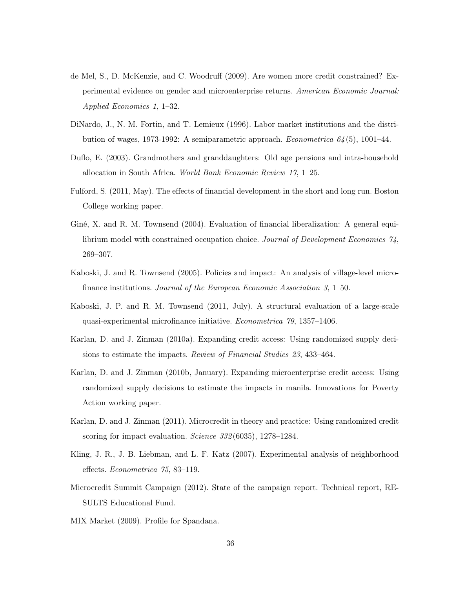- de Mel, S., D. McKenzie, and C. Woodruff (2009). Are women more credit constrained? Experimental evidence on gender and microenterprise returns. American Economic Journal: Applied Economics 1, 1–32.
- DiNardo, J., N. M. Fortin, and T. Lemieux (1996). Labor market institutions and the distribution of wages, 1973-1992: A semiparametric approach. Econometrica 64 (5), 1001–44.
- Duflo, E. (2003). Grandmothers and granddaughters: Old age pensions and intra-household allocation in South Africa. World Bank Economic Review 17, 1–25.
- Fulford, S. (2011, May). The effects of financial development in the short and long run. Boston College working paper.
- Giné, X. and R. M. Townsend (2004). Evaluation of financial liberalization: A general equilibrium model with constrained occupation choice. Journal of Development Economics 74, 269–307.
- Kaboski, J. and R. Townsend (2005). Policies and impact: An analysis of village-level microfinance institutions. Journal of the European Economic Association 3, 1–50.
- Kaboski, J. P. and R. M. Townsend (2011, July). A structural evaluation of a large-scale quasi-experimental microfinance initiative. Econometrica 79, 1357–1406.
- Karlan, D. and J. Zinman (2010a). Expanding credit access: Using randomized supply decisions to estimate the impacts. Review of Financial Studies 23, 433–464.
- Karlan, D. and J. Zinman (2010b, January). Expanding microenterprise credit access: Using randomized supply decisions to estimate the impacts in manila. Innovations for Poverty Action working paper.
- Karlan, D. and J. Zinman (2011). Microcredit in theory and practice: Using randomized credit scoring for impact evaluation. *Science* 332(6035), 1278–1284.
- Kling, J. R., J. B. Liebman, and L. F. Katz (2007). Experimental analysis of neighborhood effects. Econometrica 75, 83–119.
- Microcredit Summit Campaign (2012). State of the campaign report. Technical report, RE-SULTS Educational Fund.
- MIX Market (2009). Profile for Spandana.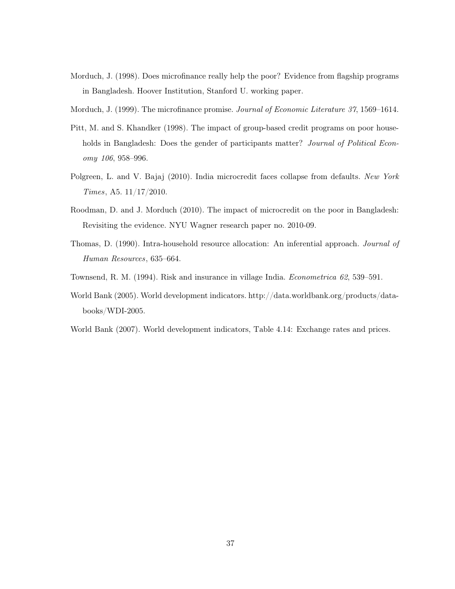- Morduch, J. (1998). Does microfinance really help the poor? Evidence from flagship programs in Bangladesh. Hoover Institution, Stanford U. working paper.
- Morduch, J. (1999). The microfinance promise. Journal of Economic Literature 37, 1569–1614.
- Pitt, M. and S. Khandker (1998). The impact of group-based credit programs on poor households in Bangladesh: Does the gender of participants matter? *Journal of Political Econ*omy 106, 958–996.
- Polgreen, L. and V. Bajaj (2010). India microcredit faces collapse from defaults. New York Times, A5. 11/17/2010.
- Roodman, D. and J. Morduch (2010). The impact of microcredit on the poor in Bangladesh: Revisiting the evidence. NYU Wagner research paper no. 2010-09.
- Thomas, D. (1990). Intra-household resource allocation: An inferential approach. Journal of Human Resources, 635–664.
- Townsend, R. M. (1994). Risk and insurance in village India. Econometrica 62, 539–591.
- World Bank (2005). World development indicators. http://data.worldbank.org/products/databooks/WDI-2005.
- World Bank (2007). World development indicators, Table 4.14: Exchange rates and prices.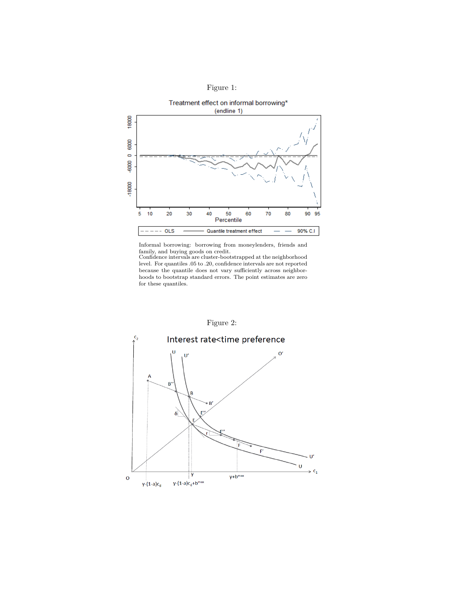



Informal borrowing: borrowing from moneylenders, friends and

family, and buying goods on credit. Confidence intervals are cluster-bootstrapped at the neighborhood level. For quantiles .05 to .20, confidence intervals are not reported because the quantile does not vary sufficiently across neighborhoods to bootstrap standard errors. The point estimates are zero for these quantiles.

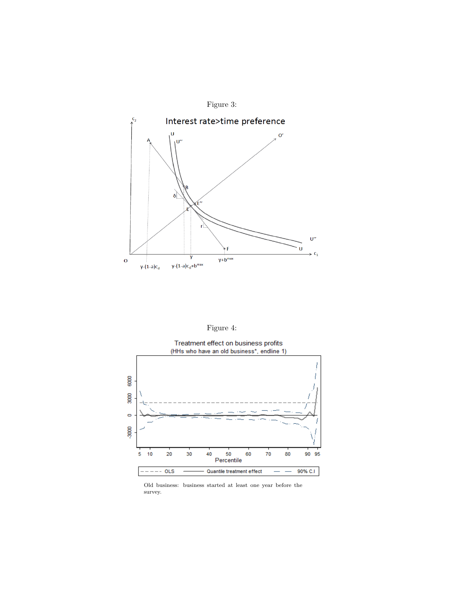

| 1911re |
|--------|
|--------|



Old business: business started at least one year before the survey.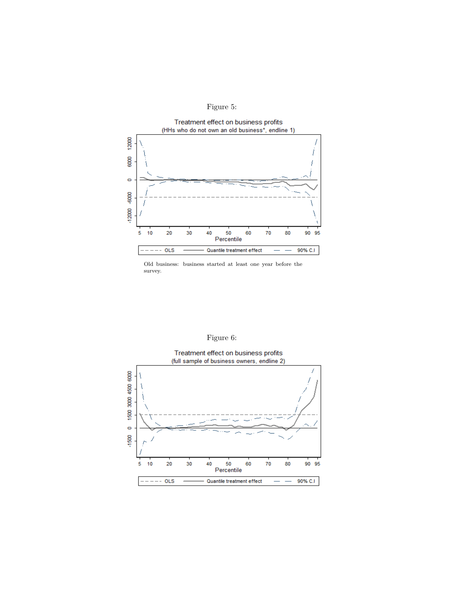



Old business: business started at least one year before the survey.



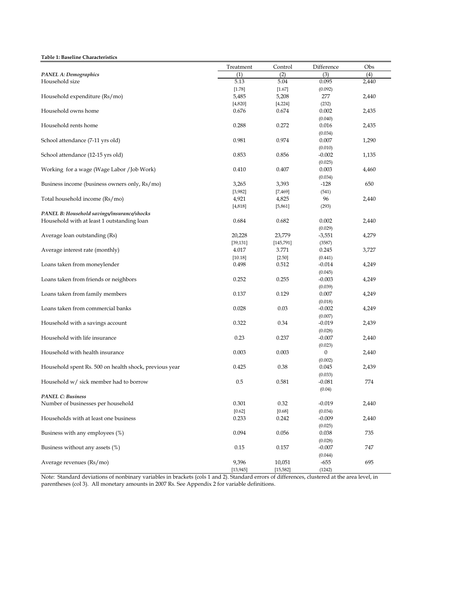#### **Table 1: Baseline Characteristics**

| Table 1: Daseline Characteristics                      |           |           |                  |       |
|--------------------------------------------------------|-----------|-----------|------------------|-------|
|                                                        | Treatment | Control   | Difference       | Obs   |
| <b>PANEL A: Demographics</b>                           | (1)       | (2)       | (3)              | (4)   |
| Household size                                         | 5.13      | 5.04      | 0.095            | 2,440 |
|                                                        | [1.78]    | $[1.67]$  | (0.092)          |       |
| Household expenditure (Rs/mo)                          | 5,485     | 5,208     | 277              | 2,440 |
|                                                        | [4, 820]  | [4, 224]  | (232)            |       |
| Household owns home                                    | 0.676     | 0.674     | 0.002            | 2,435 |
|                                                        |           |           | (0.040)          |       |
| Household rents home                                   | 0.288     | 0.272     | 0.016            | 2,435 |
|                                                        |           |           | (0.034)          |       |
| School attendance (7-11 yrs old)                       | 0.981     | 0.974     | 0.007            | 1,290 |
|                                                        |           |           | (0.010)          |       |
| School attendance (12-15 yrs old)                      | 0.853     | 0.856     | $-0.002$         | 1,135 |
|                                                        |           |           | (0.025)          |       |
| Working for a wage (Wage Labor / Job Work)             | 0.410     | 0.407     | 0.003            | 4,460 |
|                                                        |           |           | (0.034)          |       |
| Business income (business owners only, Rs/mo)          | 3,265     | 3,393     | $-128$           | 650   |
|                                                        | [3,982]   | [7, 469]  | (541)            |       |
| Total household income (Rs/mo)                         | 4,921     | 4,825     | 96               | 2,440 |
|                                                        | [4, 818]  | [5, 861]  | (293)            |       |
| PANEL B: Household savings/insurance/shocks            |           |           |                  |       |
| Household with at least 1 outstanding loan             | 0.684     | 0.682     | 0.002            | 2,440 |
|                                                        |           |           | (0.029)          |       |
| Average loan outstanding (Rs)                          | 20,228    | 23,779    | $-3,551$         | 4,279 |
|                                                        | [39, 131] | [145,791] | (3587)           |       |
| Average interest rate (monthly)                        | 4.017     | 3.771     | 0.245            | 3,727 |
|                                                        | [10.18]   | $[2.50]$  | (0.441)          |       |
| Loans taken from moneylender                           | 0.498     | 0.512     | $-0.014$         | 4,249 |
|                                                        |           |           | (0.045)          |       |
| Loans taken from friends or neighbors                  | 0.252     | 0.255     | $-0.003$         | 4,249 |
|                                                        |           |           |                  |       |
| Loans taken from family members                        | 0.137     | 0.129     | (0.039)<br>0.007 | 4,249 |
|                                                        |           |           |                  |       |
| Loans taken from commercial banks                      | 0.028     | 0.03      | (0.018)          | 4,249 |
|                                                        |           |           | $-0.002$         |       |
|                                                        |           |           | (0.007)          |       |
| Household with a savings account                       | 0.322     | 0.34      | $-0.019$         | 2,439 |
|                                                        |           |           | (0.028)          |       |
| Household with life insurance                          | 0.23      | 0.237     | $-0.007$         | 2,440 |
|                                                        |           |           | (0.023)          |       |
| Household with health insurance                        | 0.003     | 0.003     | $\boldsymbol{0}$ | 2,440 |
|                                                        |           |           | (0.002)          |       |
| Household spent Rs. 500 on health shock, previous year | 0.425     | 0.38      | 0.045            | 2,439 |
|                                                        |           |           | (0.033)          |       |
| Household w/ sick member had to borrow                 | 0.5       | 0.581     | $-0.081$         | 774   |
|                                                        |           |           | (0.04)           |       |
| <b>PANEL C: Business</b>                               |           |           |                  |       |
| Number of businesses per household                     | 0.301     | 0.32      | $-0.019$         | 2,440 |
|                                                        | [0.62]    | [0.68]    | (0.034)          |       |
| Households with at least one business                  | 0.233     | 0.242     | $-0.009$         | 2,440 |
|                                                        |           |           | (0.025)          |       |
| Business with any employees (%)                        | 0.094     | 0.056     | 0.038            | 735   |
|                                                        |           |           | (0.028)          |       |
| Business without any assets (%)                        | 0.15      | 0.157     | $-0.007$         | 747   |
|                                                        |           |           | (0.044)          |       |
| Average revenues (Rs/mo)                               | 9,396     | 10,051    | $-655$           | 695   |
|                                                        | [13, 945] | [15, 582] | (1242)           |       |

Note: Standard deviations of nonbinary variables in brackets (cols 1 and 2). Standard errors of differences, clustered at the area level, in parentheses (col 3). All monetary amounts in 2007 Rs. See Appendix 2 for variable definitions.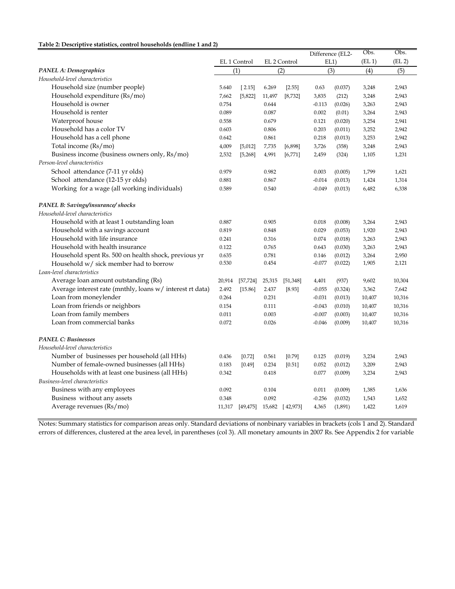### **Table 2: Descriptive statistics, control households (endline 1 and 2)**

| Tavic ∠. Descriptive statistics, control households (chumic 1 and 2 |        |                              |        |              |          |                  |        |                    |
|---------------------------------------------------------------------|--------|------------------------------|--------|--------------|----------|------------------|--------|--------------------|
|                                                                     |        |                              |        |              |          | Difference (EL2- | Obs.   | Obs.               |
|                                                                     |        | EL 1 Control                 |        | EL 2 Control |          | EL1)             | (EL 1) | (EL <sub>2</sub> ) |
| PANEL A: Demographics                                               |        | (1)                          |        | (2)          |          | (3)              | (4)    | (5)                |
| Household-level characteristics                                     |        |                              |        |              |          |                  |        |                    |
| Household size (number people)                                      | 5.640  | [2.15]                       | 6.269  | [2.55]       | 0.63     | (0.037)          | 3,248  | 2,943              |
| Household expenditure (Rs/mo)                                       | 7,662  | [5,822]                      | 11,497 | [8, 732]     | 3,835    | (212)            | 3,248  | 2,943              |
| Household is owner                                                  | 0.754  |                              | 0.644  |              | $-0.113$ | (0.026)          | 3,263  | 2,943              |
| Household is renter                                                 | 0.089  |                              | 0.087  |              | 0.002    | (0.01)           | 3,264  | 2,943              |
| Waterproof house                                                    | 0.558  |                              | 0.679  |              | 0.121    | (0.020)          | 3,254  | 2,941              |
| Household has a color TV                                            | 0.603  |                              | 0.806  |              | 0.203    | (0.011)          | 3,252  | 2,942              |
| Household has a cell phone                                          | 0.642  |                              | 0.861  |              | 0.218    | (0.013)          | 3,253  | 2,942              |
| Total income (Rs/mo)                                                | 4,009  | [5,012]                      | 7,735  | [6,898]      | 3,726    | (358)            | 3,248  | 2,943              |
| Business income (business owners only, Rs/mo)                       | 2,532  | [5, 268]                     | 4,991  | [6, 771]     | 2,459    | (324)            | 1,105  | 1,231              |
| Person-level characteristics                                        |        |                              |        |              |          |                  |        |                    |
| School attendance (7-11 yr olds)                                    | 0.979  |                              | 0.982  |              | 0.003    | (0.005)          | 1,799  | 1,621              |
| School attendance (12-15 yr olds)                                   | 0.881  |                              | 0.867  |              | $-0.014$ | (0.013)          | 1,424  | 1,314              |
| Working for a wage (all working individuals)                        | 0.589  |                              | 0.540  |              | $-0.049$ | (0.013)          | 6,482  | 6,338              |
|                                                                     |        |                              |        |              |          |                  |        |                    |
| PANEL B: Savings/insurance/ shocks                                  |        |                              |        |              |          |                  |        |                    |
| Household-level characteristics                                     |        |                              |        |              |          |                  |        |                    |
| Household with at least 1 outstanding loan                          | 0.887  |                              | 0.905  |              | 0.018    | (0.008)          | 3,264  | 2,943              |
| Household with a savings account                                    | 0.819  |                              | 0.848  |              | 0.029    | (0.053)          | 1,920  | 2,943              |
| Household with life insurance                                       | 0.241  |                              | 0.316  |              | 0.074    | (0.018)          | 3,263  | 2,943              |
| Household with health insurance                                     | 0.122  |                              | 0.765  |              | 0.643    | (0.030)          | 3,263  | 2,943              |
| Household spent Rs. 500 on health shock, previous yr                | 0.635  |                              | 0.781  |              | 0.146    | (0.012)          | 3,264  | 2,950              |
| Household w/ sick member had to borrow                              | 0.530  |                              | 0.454  |              | $-0.077$ | (0.022)          | 1,905  | 2,121              |
| Loan-level characteristics                                          |        |                              |        |              |          |                  |        |                    |
| Average loan amount outstanding (Rs)                                | 20,914 | [57, 724]                    | 25,315 | [51, 348]    | 4,401    | (937)            | 9,602  | 10,304             |
| Average interest rate (mnthly, loans w/ interest rt data)           | 2.492  | [15.86]                      | 2.437  | [8.93]       | $-0.055$ | (0.324)          | 3,362  | 7,642              |
| Loan from moneylender                                               | 0.264  |                              | 0.231  |              | $-0.031$ | (0.013)          | 10,407 | 10,316             |
| Loan from friends or neighbors                                      | 0.154  |                              | 0.111  |              | $-0.043$ | (0.010)          | 10,407 | 10,316             |
| Loan from family members                                            | 0.011  |                              | 0.003  |              | $-0.007$ | (0.003)          | 10,407 | 10,316             |
| Loan from commercial banks                                          | 0.072  |                              | 0.026  |              | $-0.046$ | (0.009)          | 10,407 | 10,316             |
|                                                                     |        |                              |        |              |          |                  |        |                    |
| <b>PANEL C: Businesses</b>                                          |        |                              |        |              |          |                  |        |                    |
| Household-level characteristics                                     |        |                              |        |              |          |                  |        |                    |
| Number of businesses per household (all HHs)                        | 0.436  | $[0.72]$                     | 0.561  | $[0.79]$     | 0.125    | (0.019)          | 3,234  | 2,943              |
| Number of female-owned businesses (all HHs)                         | 0.183  | [0.49]                       | 0.234  | [0.51]       | 0.052    | (0.012)          | 3,209  | 2,943              |
| Households with at least one business (all HHs)                     | 0.342  |                              | 0.418  |              | 0.077    | (0.009)          | 3,234  | 2,943              |
| Business-level characteristics                                      |        |                              |        |              |          |                  |        |                    |
| Business with any employees                                         | 0.092  |                              | 0.104  |              | 0.011    | (0.009)          | 1,385  | 1,636              |
| Business without any assets                                         | 0.348  |                              | 0.092  |              | $-0.256$ | (0.032)          | 1,543  | 1,652              |
| Average revenues (Rs/mo)                                            | 11,317 | $[49,475]$ 15,682 $[42,973]$ |        |              | 4,365    | (1,891)          | 1,422  | 1,619              |
|                                                                     |        |                              |        |              |          |                  |        |                    |

Notes: Summary statistics for comparison areas only. Standard deviations of nonbinary variables in brackets (cols 1 and 2). Standard errors of differences, clustered at the area level, in parentheses (col 3). All monetary amounts in 2007 Rs. See Appendix 2 for variable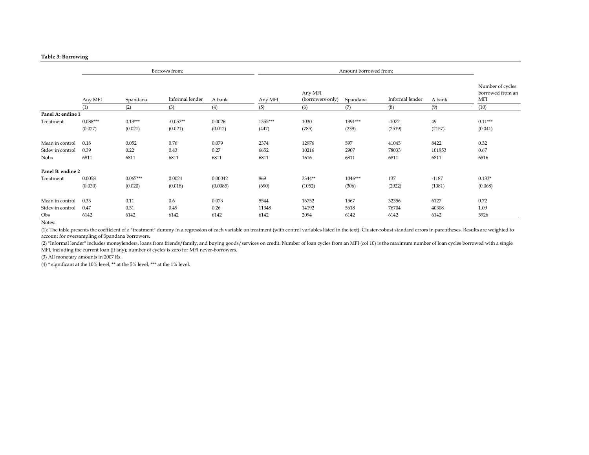|                   |            |            | Borrows from:   |          |         |                             |           |                 |         |                                                    |
|-------------------|------------|------------|-----------------|----------|---------|-----------------------------|-----------|-----------------|---------|----------------------------------------------------|
|                   | Any MFI    | Spandana   | Informal lender | A bank   | Any MFI | Any MFI<br>(borrowers only) | Spandana  | Informal lender | A bank  | Number of cycles<br>borrowed from an<br><b>MFI</b> |
|                   | (1)        | (2)        | (3)             | (4)      | (5)     | (6)                         | (7)       | (8)             | (9)     | (10)                                               |
| Panel A: endine 1 |            |            |                 |          |         |                             |           |                 |         |                                                    |
| Treatment         | $0.088***$ | $0.13***$  | $-0.052**$      | 0.0026   | 1355*** | 1030                        | 1391***   | $-1072$         | 49      | $0.11***$                                          |
|                   | (0.027)    | (0.021)    | (0.021)         | (0.012)  | (447)   | (785)                       | (239)     | (2519)          | (2157)  | (0.041)                                            |
| Mean in control   | 0.18       | 0.052      | 0.76            | 0.079    | 2374    | 12976                       | 597       | 41045           | 8422    | 0.32                                               |
| Stdev in control  | 0.39       | 0.22       | 0.43            | 0.27     | 6652    | 10216                       | 2907      | 78033           | 101953  | 0.67                                               |
| <b>Nobs</b>       | 6811       | 6811       | 6811            | 6811     | 6811    | 1616                        | 6811      | 6811            | 6811    | 6816                                               |
| Panel B: endine 2 |            |            |                 |          |         |                             |           |                 |         |                                                    |
| Treatment         | 0.0058     | $0.067***$ | 0.0024          | 0.00042  | 869     | 2344**                      | $1046***$ | 137             | $-1187$ | $0.133*$                                           |
|                   | (0.030)    | (0.020)    | (0.018)         | (0.0085) | (690)   | (1052)                      | (306)     | (2922)          | (1081)  | (0.068)                                            |
| Mean in control   | 0.33       | 0.11       | 0.6             | 0.073    | 5544    | 16752                       | 1567      | 32356           | 6127    | 0.72                                               |
| Stdev in control  | 0.47       | 0.31       | 0.49            | 0.26     | 11348   | 14192                       | 5618      | 76704           | 40308   | 1.09                                               |
| Obs               | 6142       | 6142       | 6142            | 6142     | 6142    | 2094                        | 6142      | 6142            | 6142    | 5926                                               |

Notes:

(1): The table presents the coefficient of a "treatment" dummy in a regression of each variable on treatment (with control variables listed in the text). Cluster-robust standard errors in parentheses. Results are weighted to account for oversampling of Spandana borrowers.

(2) "Informal lender" includes moneylenders, loans from friends/family, and buying goods/services on credit. Number of loan cycles from an MFI (col 10) is the maximum number of loan cycles borrowed with a single MFI, including the current loan (if any); number of cycles is zero for MFI never-borrowers.

(3) All monetary amounts in 2007 Rs.

(4) \* significant at the 10% level, \*\* at the 5% level, \*\*\* at the 1% level.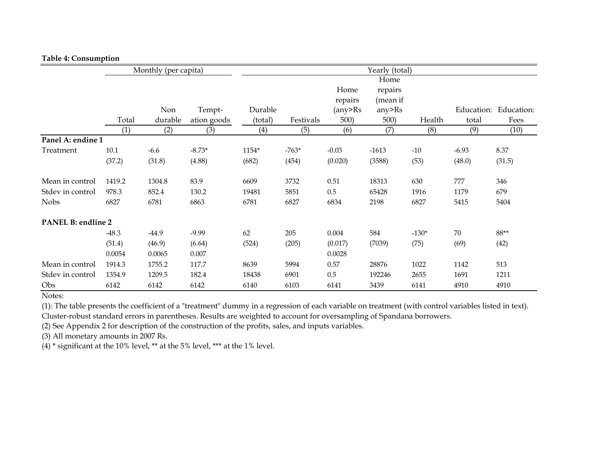### **Table 4: Consumption**

|                    |         | Monthly (per capita) |             |         |           |         | Yearly (total) |         |         |                       |
|--------------------|---------|----------------------|-------------|---------|-----------|---------|----------------|---------|---------|-----------------------|
|                    |         |                      |             |         |           |         | Home           |         |         |                       |
|                    |         |                      |             |         |           | Home    | repairs        |         |         |                       |
|                    |         |                      |             |         |           | repairs | (mean if       |         |         |                       |
|                    |         | Non                  | Tempt-      | Durable |           | (any>Rs | any>Rs         |         |         | Education: Education: |
|                    | Total   | durable              | ation goods | (total) | Festivals | 500)    | 500)           | Health  | total   | Fees                  |
|                    | (1)     | (2)                  | (3)         | (4)     | (5)       | (6)     | (7)            | (8)     | (9)     | (10)                  |
| Panel A: endine 1  |         |                      |             |         |           |         |                |         |         |                       |
| Treatment          | 10.1    | $-6.6$               | $-8.73*$    | 1154*   | $-763*$   | $-0.03$ | $-1613$        | $-10$   | $-6.93$ | 8.37                  |
|                    | (37.2)  | (31.8)               | (4.88)      | (682)   | (454)     | (0.020) | (3588)         | (53)    | (48.0)  | (31.5)                |
| Mean in control    | 1419.2  | 1304.8               | 83.9        | 6609    | 3732      | 0.51    | 18313          | 630     | 777     | 346                   |
| Stdev in control   | 978.3   | 852.4                | 130.2       | 19481   | 5851      | 0.5     | 65428          | 1916    | 1179    | 679                   |
| <b>Nobs</b>        | 6827    | 6781                 | 6863        | 6781    | 6827      | 6834    | 2198           | 6827    | 5415    | 5404                  |
| PANEL B: endline 2 |         |                      |             |         |           |         |                |         |         |                       |
|                    | $-48.3$ | $-44.9$              | $-9.99$     | 62      | 205       | 0.004   | 584            | $-130*$ | 70      | $88**$                |
|                    | (51.4)  | (46.9)               | (6.64)      | (524)   | (205)     | (0.017) | (7039)         | (75)    | (69)    | (42)                  |
|                    | 0.0054  | 0.0065               | 0.007       |         |           | 0.0028  |                |         |         |                       |
| Mean in control    | 1914.3  | 1755.2               | 117.7       | 8639    | 5994      | 0.57    | 28876          | 1022    | 1142    | 513                   |
| Stdev in control   | 1354.9  | 1209.5               | 182.4       | 18438   | 6901      | 0.5     | 192246         | 2655    | 1691    | 1211                  |
| Obs                | 6142    | 6142                 | 6142        | 6140    | 6103      | 6141    | 3439           | 6141    | 4910    | 4910                  |

Notes:

(1): The table presents the coefficient of a "treatment" dummy in a regression of each variable on treatment (with control variables listed in text). Cluster-robust standard errors in parentheses. Results are weighted to account for oversampling of Spandana borrowers.

(2) See Appendix 2 for description of the construction of the profits, sales, and inputs variables.

(3) All monetary amounts in 2007 Rs.

(4) \* significant at the 10% level, \*\* at the 5% level, \*\*\* at the 1% level.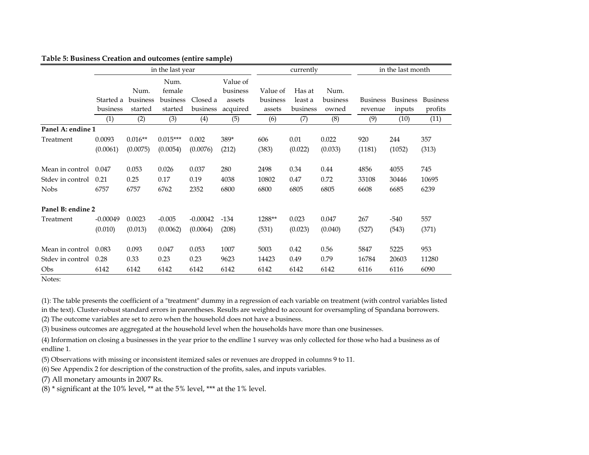|                   |                       |                     | in the last year    |                      |                      |                    | currently           |                   | in the last month          |                           |                            |  |
|-------------------|-----------------------|---------------------|---------------------|----------------------|----------------------|--------------------|---------------------|-------------------|----------------------------|---------------------------|----------------------------|--|
|                   |                       | Num.                | Num.<br>female      |                      | Value of<br>business | Value of           | Has at              | Num.              |                            |                           |                            |  |
|                   | Started a<br>business | business<br>started | business<br>started | Closed a<br>business | assets<br>acquired   | business<br>assets | least a<br>business | business<br>owned | <b>Business</b><br>revenue | <b>Business</b><br>inputs | <b>Business</b><br>profits |  |
|                   | (1)                   | (2)                 | (3)                 | (4)                  | (5)                  | (6)                | (7)                 | (8)               | (9)                        | (10)                      | (11)                       |  |
| Panel A: endine 1 |                       |                     |                     |                      |                      |                    |                     |                   |                            |                           |                            |  |
| Treatment         | 0.0093                | $0.016**$           | $0.015***$          | 0.002                | 389*                 | 606                | 0.01                | 0.022             | 920                        | 244                       | 357                        |  |
|                   | (0.0061)              | (0.0075)            | (0.0054)            | (0.0076)             | (212)                | (383)              | (0.022)             | (0.033)           | (1181)                     | (1052)                    | (313)                      |  |
| Mean in control   | 0.047                 | 0.053               | 0.026               | 0.037                | 280                  | 2498               | 0.34                | 0.44              | 4856                       | 4055                      | 745                        |  |
| Stdev in control  | 0.21                  | 0.25                | 0.17                | 0.19                 | 4038                 | 10802              | 0.47                | 0.72              | 33108                      | 30446                     | 10695                      |  |
| <b>Nobs</b>       | 6757                  | 6757                | 6762                | 2352                 | 6800                 | 6800               | 6805                | 6805              | 6608                       | 6685                      | 6239                       |  |
| Panel B: endine 2 |                       |                     |                     |                      |                      |                    |                     |                   |                            |                           |                            |  |
| Treatment         | $-0.00049$            | 0.0023              | $-0.005$            | $-0.00042$           | $-134$               | 1288**             | 0.023               | 0.047             | 267                        | $-540$                    | 557                        |  |
|                   | (0.010)               | (0.013)             | (0.0062)            | (0.0064)             | (208)                | (531)              | (0.023)             | (0.040)           | (527)                      | (543)                     | (371)                      |  |
| Mean in control   | 0.083                 | 0.093               | 0.047               | 0.053                | 1007                 | 5003               | 0.42                | 0.56              | 5847                       | 5225                      | 953                        |  |
| Stdev in control  | 0.28                  | 0.33                | 0.23                | 0.23                 | 9623                 | 14423              | 0.49                | 0.79              | 16784                      | 20603                     | 11280                      |  |
| Obs               | 6142                  | 6142                | 6142                | 6142                 | 6142                 | 6142               | 6142                | 6142              | 6116                       | 6116                      | 6090                       |  |

### **Table 5: Business Creation and outcomes (entire sample)**

Notes:

(1): The table presents the coefficient of a "treatment" dummy in a regression of each variable on treatment (with control variables listed

in the text). Cluster-robust standard errors in parentheses. Results are weighted to account for oversampling of Spandana borrowers.

(2) The outcome variables are set to zero when the household does not have a business.

(3) business outcomes are aggregated at the household level when the households have more than one businesses.

(4) Information on closing a businesses in the year prior to the endline 1 survey was only collected for those who had a business as of endline 1.

(5) Observations with missing or inconsistent itemized sales or revenues are dropped in columns 9 to 11.

(6) See Appendix 2 for description of the construction of the profits, sales, and inputs variables.

(7) All monetary amounts in 2007 Rs.

(8) \* significant at the 10% level, \*\* at the 5% level, \*\*\* at the 1% level.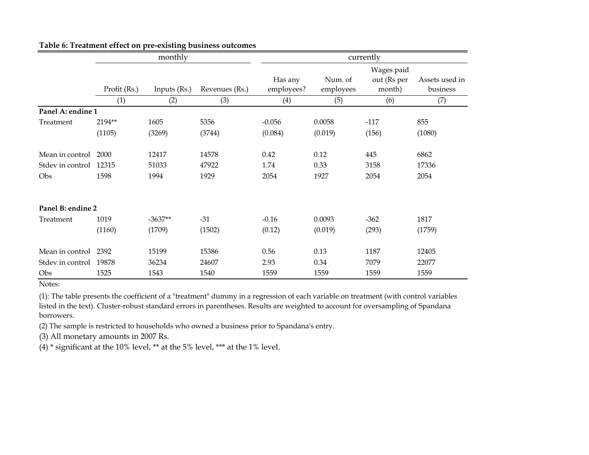|                        |              | monthly      |                | currently             |                      |                                     |                            |  |  |  |  |
|------------------------|--------------|--------------|----------------|-----------------------|----------------------|-------------------------------------|----------------------------|--|--|--|--|
|                        | Profit (Rs.) | Inputs (Rs.) | Revenues (Rs.) | Has any<br>employees? | Num. of<br>employees | Wages paid<br>out (Rs per<br>month) | Assets used in<br>business |  |  |  |  |
|                        | (1)          | (2)          | (3)            | (4)                   | (5)                  | (6)                                 | (7)                        |  |  |  |  |
| Panel A: endine 1      |              |              |                |                       |                      |                                     |                            |  |  |  |  |
| Treatment              | 2194**       | 1605         | 5356           | $-0.056$              | 0.0058               | $-117$                              | 855                        |  |  |  |  |
|                        | (1105)       | (3269)       | (3744)         | (0.084)               | (0.019)              | (156)                               | (1080)                     |  |  |  |  |
| Mean in control        | 2000         | 12417        | 14578          | 0.42                  | 0.12                 | 445                                 | 6862                       |  |  |  |  |
| Stdev in control 12315 |              | 51033        | 47922          | 1.74                  | 0.33                 | 3158                                | 17336                      |  |  |  |  |
| Obs                    | 1598         | 1994         | 1929           | 2054                  | 1927                 | 2054                                | 2054                       |  |  |  |  |
| Panel B: endine 2      |              |              |                |                       |                      |                                     |                            |  |  |  |  |
| Treatment              | 1019         | $-3637**$    | $-31$          | $-0.16$               | 0.0093               | $-362$                              | 1817                       |  |  |  |  |
|                        | (1160)       | (1709)       | (1502)         | (0.12)                | (0.019)              | (293)                               | (1759)                     |  |  |  |  |
| Mean in control        | 2392         | 15199        | 15386          | 0.56                  | 0.13                 | 1187                                | 12405                      |  |  |  |  |
| Stdev in control 19878 |              | 36234        | 24607          | 2.93                  | 0.34                 | 7079                                | 22077                      |  |  |  |  |
| Obs                    | 1525         | 1543         | 1540           | 1559                  | 1559                 | 1559                                | 1559                       |  |  |  |  |

### **Table 6: Treatment effect on pre-existing business outcomes**

Notes:

(1): The table presents the coefficient of a "treatment" dummy in a regression of each variable on treatment (with control variables listed in the text). Cluster-robust standard errors in parentheses. Results are weighted to account for oversampling of Spandana borrowers.

(2) The sample is restricted to households who owned a business prior to Spandana's entry.

(3) All monetary amounts in 2007 Rs.

(4)  $*$  significant at the 10% level,  $**$  at the 5% level,  $***$  at the 1% level.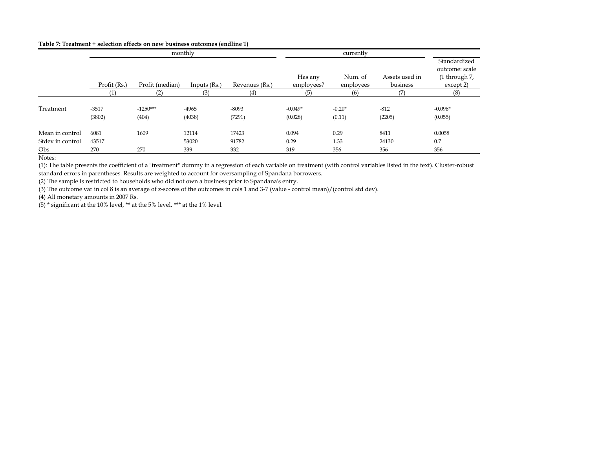#### **Table 7: Treatment + selection effects on new business outcomes (endline 1)**

|                         |                   |                     | monthly           |                   |                      | currently          |                  |                                |
|-------------------------|-------------------|---------------------|-------------------|-------------------|----------------------|--------------------|------------------|--------------------------------|
|                         |                   |                     |                   |                   |                      |                    |                  | Standardized<br>outcome: scale |
|                         |                   |                     |                   |                   | Has any              | Num. of            | Assets used in   | (1 through 7,                  |
|                         | Profit (Rs.)      | Profit (median)     | Inputs $(Rs.)$    | Revenues (Rs.)    | employees?           | employees          | business         | except 2)                      |
|                         | (1)               | (2)                 | (3)               | (4)               | (5)                  | (6)                | (7)              | (8)                            |
| Treatment               | $-3517$<br>(3802) | $-1250***$<br>(404) | $-4965$<br>(4038) | $-8093$<br>(7291) | $-0.049*$<br>(0.028) | $-0.20*$<br>(0.11) | $-812$<br>(2205) | $-0.096*$<br>(0.055)           |
| Mean in control         | 6081              | 1609                | 12114             | 17423             | 0.094                | 0.29               | 8411             | 0.0058                         |
| Stdev in control<br>Obs | 43517<br>270      | 270                 | 53020<br>339      | 91782<br>332      | 0.29<br>319          | 1.33<br>356        | 24130<br>356     | 0.7<br>356                     |

Notes:

(1): The table presents the coefficient of a "treatment" dummy in a regression of each variable on treatment (with control variables listed in the text). Cluster-robust standard errors in parentheses. Results are weighted to account for oversampling of Spandana borrowers.

(2) The sample is restricted to households who did not own a business prior to Spandana's entry.

(3) The outcome var in col 8 is an average of z-scores of the outcomes in cols 1 and 3-7 (value - control mean)/(control std dev).

(4) All monetary amounts in 2007 Rs.

(5) \* significant at the 10% level, \*\* at the 5% level, \*\*\* at the 1% level.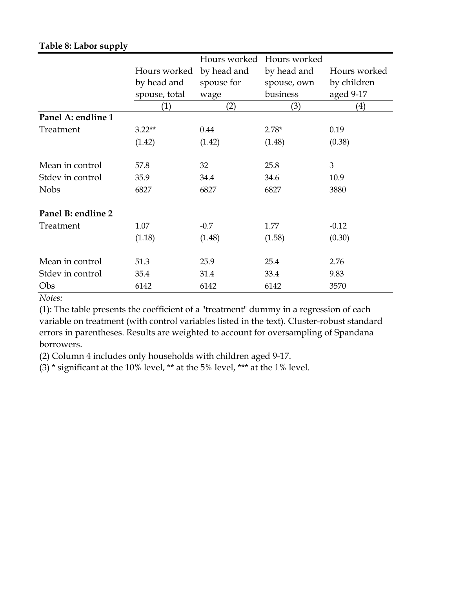|  |  |  | Table 8: Labor supply |
|--|--|--|-----------------------|
|--|--|--|-----------------------|

|                    |               | Hours worked | Hours worked |                   |
|--------------------|---------------|--------------|--------------|-------------------|
|                    | Hours worked  | by head and  | by head and  | Hours worked      |
|                    | by head and   | spouse for   | spouse, own  | by children       |
|                    | spouse, total | wage         | business     | aged 9-17         |
|                    | (1)           | (2)          | (3)          | $\left( 4\right)$ |
| Panel A: endline 1 |               |              |              |                   |
| Treatment          | $3.22**$      | 0.44         | $2.78*$      | 0.19              |
|                    | (1.42)        | (1.42)       | (1.48)       | (0.38)            |
|                    |               |              |              |                   |
| Mean in control    | 57.8          | 32           | 25.8         | 3                 |
| Stdev in control   | 35.9          | 34.4         | 34.6         | 10.9              |
| <b>Nobs</b>        | 6827          | 6827         | 6827         | 3880              |
| Panel B: endline 2 |               |              |              |                   |
| Treatment          | 1.07          | $-0.7$       | 1.77         | $-0.12$           |
|                    | (1.18)        | (1.48)       | (1.58)       | (0.30)            |
|                    |               |              |              |                   |
| Mean in control    | 51.3          | 25.9         | 25.4         | 2.76              |
| Stdev in control   | 35.4          | 31.4         | 33.4         | 9.83              |
| Obs                | 6142          | 6142         | 6142         | 3570              |

*Notes:*

(1): The table presents the coefficient of a "treatment" dummy in a regression of each variable on treatment (with control variables listed in the text). Cluster-robust standard errors in parentheses. Results are weighted to account for oversampling of Spandana borrowers.

(2) Column 4 includes only households with children aged 9-17.

(3)  $*$  significant at the 10% level,  $**$  at the 5% level,  $***$  at the 1% level.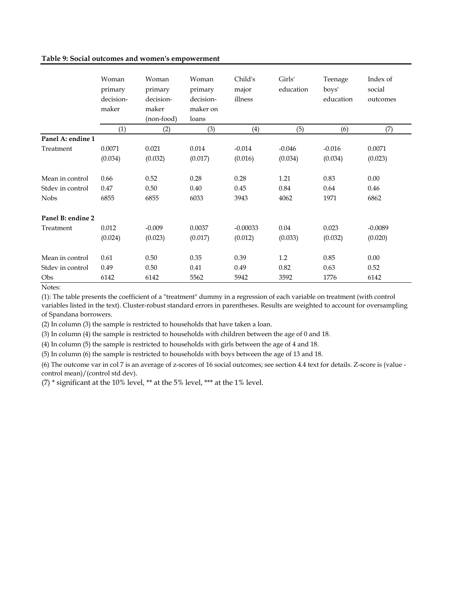### **Table 9: Social outcomes and women's empowerment**

|                   | Woman<br>primary<br>decision-<br>maker | Woman<br>primary<br>decision-<br>maker<br>(non-food) | Woman<br>primary<br>decision-<br>maker on<br>loans | Child's<br>major<br>illness | Girls'<br>education | Teenage<br>boys'<br>education | Index of<br>social<br>outcomes |
|-------------------|----------------------------------------|------------------------------------------------------|----------------------------------------------------|-----------------------------|---------------------|-------------------------------|--------------------------------|
|                   | (1)                                    | (2)                                                  | (3)                                                | (4)                         | (5)                 | (6)                           | (7)                            |
| Panel A: endine 1 |                                        |                                                      |                                                    |                             |                     |                               |                                |
| Treatment         | 0.0071                                 | 0.021                                                | 0.014                                              | $-0.014$                    | $-0.046$            | $-0.016$                      | 0.0071                         |
|                   | (0.034)                                | (0.032)                                              | (0.017)                                            | (0.016)                     | (0.034)             | (0.034)                       | (0.023)                        |
| Mean in control   | 0.66                                   | 0.52                                                 | 0.28                                               | 0.28                        | 1.21                | 0.83                          | 0.00                           |
| Stdev in control  | 0.47                                   | 0.50                                                 | 0.40                                               | 0.45                        | 0.84                | 0.64                          | 0.46                           |
| <b>Nobs</b>       | 6855                                   | 6855                                                 | 6033                                               | 3943                        | 4062                | 1971                          | 6862                           |
| Panel B: endine 2 |                                        |                                                      |                                                    |                             |                     |                               |                                |
| Treatment         | 0.012                                  | $-0.009$                                             | 0.0037                                             | $-0.00033$                  | 0.04                | 0.023                         | $-0.0089$                      |
|                   | (0.024)                                | (0.023)                                              | (0.017)                                            | (0.012)                     | (0.033)             | (0.032)                       | (0.020)                        |
| Mean in control   | 0.61                                   | 0.50                                                 | 0.35                                               | 0.39                        | 1.2                 | 0.85                          | 0.00                           |
| Stdev in control  | 0.49                                   | 0.50                                                 | 0.41                                               | 0.49                        | 0.82                | 0.63                          | 0.52                           |
| Obs               | 6142                                   | 6142                                                 | 5562                                               | 5942                        | 3592                | 1776                          | 6142                           |

Notes:

(1): The table presents the coefficient of a "treatment" dummy in a regression of each variable on treatment (with control variables listed in the text). Cluster-robust standard errors in parentheses. Results are weighted to account for oversampling of Spandana borrowers.

(2) In column (3) the sample is restricted to households that have taken a loan.

(3) In column (4) the sample is restricted to households with children between the age of 0 and 18.

(4) In column (5) the sample is restricted to households with girls between the age of 4 and 18.

(5) In column (6) the sample is restricted to households with boys between the age of 13 and 18.

(6) The outcome var in col 7 is an average of z-scores of 16 social outcomes; see section 4.4 text for details. Z-score is (value control mean)/(control std dev).

(7) \* significant at the 10% level, \*\* at the 5% level, \*\*\* at the 1% level.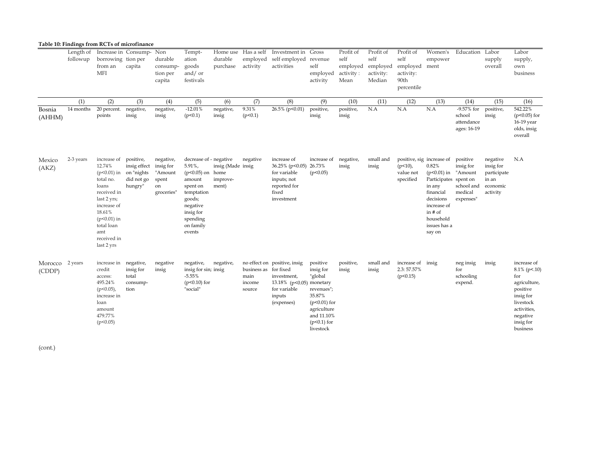|                           |                       | Table 10: Findings from RCTs of microfinance                                                                                                                                                       |                                                              |                                                   |                                                                                                                                                                  |                                        |                                                   |                                                                                                                 |                                                                                                                                       |                                                    |                                                      |                                                                  |                                                                                                                                                                                     |                                                                        |                                                                       |                                                                                                                                                 |
|---------------------------|-----------------------|----------------------------------------------------------------------------------------------------------------------------------------------------------------------------------------------------|--------------------------------------------------------------|---------------------------------------------------|------------------------------------------------------------------------------------------------------------------------------------------------------------------|----------------------------------------|---------------------------------------------------|-----------------------------------------------------------------------------------------------------------------|---------------------------------------------------------------------------------------------------------------------------------------|----------------------------------------------------|------------------------------------------------------|------------------------------------------------------------------|-------------------------------------------------------------------------------------------------------------------------------------------------------------------------------------|------------------------------------------------------------------------|-----------------------------------------------------------------------|-------------------------------------------------------------------------------------------------------------------------------------------------|
|                           | Length of<br>followup | Increase in Consump- Non<br>borrowing tion per<br>from an<br><b>MFI</b>                                                                                                                            | capita                                                       | durable<br>consump-<br>tion per<br>capita         | Tempt-<br>ation<br>goods<br>and/ or<br>festivals                                                                                                                 | durable<br>purchase                    | employed<br>activity                              | Home use Has a self Investment in Gross<br>self employed revenue<br>activities                                  | self<br>employed<br>activity                                                                                                          | Profit of<br>self<br>employed<br>activity:<br>Mean | Profit of<br>self<br>employed<br>activity:<br>Median | Profit of<br>self<br>employed<br>activity:<br>90th<br>percentile | Women's<br>empower<br>ment                                                                                                                                                          | Education Labor                                                        | supply<br>overall                                                     | Labor<br>supply,<br>own<br>business                                                                                                             |
|                           | (1)                   | (2)                                                                                                                                                                                                | (3)                                                          | (4)                                               | (5)                                                                                                                                                              | (6)                                    | (7)                                               | (8)                                                                                                             | (9)                                                                                                                                   | (10)                                               | (11)                                                 | (12)                                                             | (13)                                                                                                                                                                                | (14)                                                                   | (15)                                                                  | (16)                                                                                                                                            |
| Bosnia<br>(AHHM)          | 14 months             | 20 percent.<br>points                                                                                                                                                                              | negative,<br>insig                                           | negative,<br>insig                                | $-12.01%$<br>(p<0.1)                                                                                                                                             | negative,<br>insig                     | 9.31%<br>(p<0.1)                                  | 26.5% (p<0.01)                                                                                                  | positive,<br>insig                                                                                                                    | positive,<br>insig                                 | N.A                                                  | N.A                                                              | N.A                                                                                                                                                                                 | -9.57% for<br>school<br>attendance<br>ages: 16-19                      | positive,<br>insig                                                    | 542.22%<br>$(p<0.05)$ for<br>16-19 year<br>olds, insig<br>overall                                                                               |
| Mexico<br>(AKZ)           | 2-3 years             | increase of<br>12.74%<br>$(p<0.01)$ in on "nights"<br>total no.<br>loans<br>received in<br>last 2 yrs;<br>increase of<br>18.61%<br>$(p<0.01)$ in<br>total loan<br>amt<br>received in<br>last 2 yrs | positive,<br>insig effect insig for<br>did not go<br>hungry" | negative,<br>"Amount<br>spent<br>on<br>groceries" | decrease of - negative<br>5.91%,<br>$(p<0.05)$ on home<br>amount<br>spent on<br>temptation<br>goods;<br>negative<br>insig for<br>spending<br>on family<br>events | insig (Made insig<br>improve-<br>ment) | negative                                          | increase of<br>36.25% (p<0.05) 26.73%<br>for variable<br>inputs; not<br>reported for<br>fixed<br>investment     | increase of<br>(p<0.05)                                                                                                               | negative,<br>insig                                 | small and<br>insig                                   | $(p<10)$ ,<br>value not<br>specified                             | positive, sig increase of<br>0.82%<br>$(p<0.01)$ in<br>Participates spent on<br>in any<br>financial<br>decisions<br>increase of<br>in $#$ of<br>household<br>issues has a<br>say on | positive<br>insig for<br>"Amount<br>school and<br>medical<br>expenses" | negative<br>insig for<br>participate<br>in an<br>economic<br>activity | N.A                                                                                                                                             |
| Morocco 2 years<br>(CDDP) |                       | increase in negative,<br>credit<br>access:<br>495.24%<br>$(p<0.05)$ ,<br>increase in<br>loan<br>amount<br>479.77%<br>(p<0.05)                                                                      | insig for<br>total<br>consump-<br>tion                       | negative<br>insig                                 | negative,<br>insig for sin; insig<br>$-5.55%$<br>$(p<0.10)$ for<br>"social"                                                                                      | negative,                              | business as for fixed<br>main<br>income<br>source | no effect on positive, insig<br>investment,<br>13.18% (p<0.05) monetary<br>for variable<br>inputs<br>(expenses) | positive<br>insig for<br>"global<br>revenues";<br>35.87%<br>$(p<0.01)$ for<br>agriculture<br>and 11.10%<br>$(p<0.1)$ for<br>livestock | positive,<br>insig                                 | small and<br>insig                                   | increase of insig<br>2.3:57.57%<br>(p<0.15)                      |                                                                                                                                                                                     | neg insig<br>for<br>schooling<br>expend.                               | insig                                                                 | increase of<br>$8.1\%$ (p<.10)<br>for<br>agriculture,<br>positive<br>insig for<br>livestock<br>activities,<br>negative<br>insig for<br>business |

(cont.)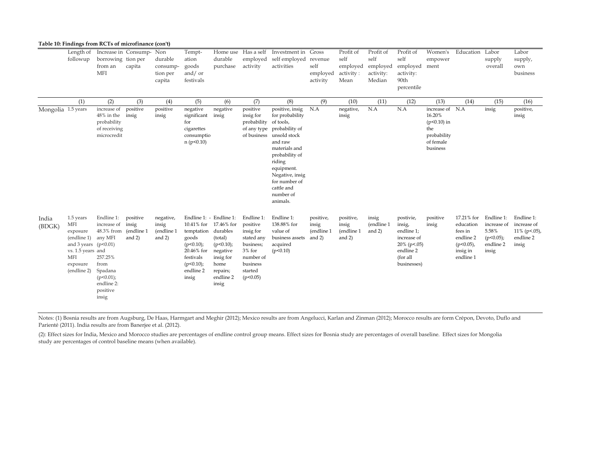|                    | Table 10: Findings from RCTs of microfinance (con't)                                                                                |                                                                                                                                     |                                              |                                              |                                                                                                                                          |                                                                                                                     |                                                                                                                            |                                                                                                                                                                                                                                                                   |                                              |                                                    |                                                      |                                                                                                             |                                                                                                   |                                                                                          |                                                                          |                                                                     |
|--------------------|-------------------------------------------------------------------------------------------------------------------------------------|-------------------------------------------------------------------------------------------------------------------------------------|----------------------------------------------|----------------------------------------------|------------------------------------------------------------------------------------------------------------------------------------------|---------------------------------------------------------------------------------------------------------------------|----------------------------------------------------------------------------------------------------------------------------|-------------------------------------------------------------------------------------------------------------------------------------------------------------------------------------------------------------------------------------------------------------------|----------------------------------------------|----------------------------------------------------|------------------------------------------------------|-------------------------------------------------------------------------------------------------------------|---------------------------------------------------------------------------------------------------|------------------------------------------------------------------------------------------|--------------------------------------------------------------------------|---------------------------------------------------------------------|
|                    | Length of<br>followup                                                                                                               | Increase in Consump- Non<br>borrowing tion per<br>from an<br><b>MFI</b>                                                             | capita                                       | durable<br>consump-<br>tion per<br>capita    | Tempt-<br>ation<br>goods<br>and/ or<br>festivals                                                                                         | durable<br>purchase                                                                                                 | Home use Has a self<br>employed<br>activity                                                                                | Investment in Gross<br>self employed<br>activities                                                                                                                                                                                                                | revenue<br>self<br>employed<br>activity      | Profit of<br>self<br>employed<br>activity:<br>Mean | Profit of<br>self<br>employed<br>activity:<br>Median | Profit of<br>self<br>employed<br>activity:<br>90th<br>percentile                                            | Women's<br>empower<br>ment                                                                        | Education                                                                                | Labor<br>supply<br>overall                                               | Labor<br>supply,<br>own<br>business                                 |
| Mongolia 1.5 years | (1)                                                                                                                                 | (2)<br>increase of<br>48% in the insig<br>probability<br>of receiving<br>microcredit                                                | (3)<br>positive                              | (4)<br>positive<br>insig                     | (5)<br>negative<br>significant insig<br>for<br>cigarettes<br>consumptio<br>n (p<0.10)                                                    | (6)<br>negative                                                                                                     | (7)<br>positive<br>insig for<br>probability                                                                                | (8)<br>positive, insig<br>for probability<br>of tools,<br>of any type probability of<br>of business unsold stock<br>and raw<br>materials and<br>probability of<br>riding<br>equipment.<br>Negative, insig<br>for number of<br>cattle and<br>number of<br>animals. | (9)<br>N.A                                   | (10)<br>negative,<br>insig                         | (11)<br>N.A                                          | (12)<br>N.A                                                                                                 | (13)<br>increase of N.A<br>16.20%<br>$(p<0.10)$ in<br>the<br>probability<br>of female<br>business | (14)                                                                                     | (15)<br>insig                                                            | (16)<br>positive,<br>insig                                          |
| India<br>(BDGK)    | 1.5 years<br><b>MFI</b><br>exposure<br>(endline 1)<br>and 3 years $(p<0.01)$<br>vs. 1.5 years and<br>MFI<br>exposure<br>(endline 2) | Endline 1:<br>increase of<br>48.3% from<br>any MFI<br>257.25%<br>from<br>Spadana<br>$(p<0.01)$ ;<br>endline 2:<br>positive<br>insig | positive<br>insig<br>(endline 1)<br>and $2)$ | negative,<br>insig<br>(endline 1<br>and $2)$ | Endline 1: - Endline 1:<br>temptation durables<br>goods<br>$(p<0.10)$ ;<br>20.46% for<br>festivals<br>$(p<0.10)$ ;<br>endline 2<br>insig | 10.41% for 17.46% for<br>(total)<br>$(p<0.10)$ ;<br>negative<br>insig for<br>home<br>repairs;<br>endline 2<br>insig | Endline 1:<br>positive<br>insig for<br>stated any<br>business;<br>$3%$ for<br>number of<br>business<br>started<br>(p<0.05) | Endline 1:<br>138.88% for<br>value of<br>business assets<br>acquired<br>(p<0.10)                                                                                                                                                                                  | positive,<br>insig<br>(endline 1<br>and $2)$ | positive,<br>insig<br>(endline 1<br>and $2)$       | insig<br>(endline 1<br>and $2)$                      | postivie,<br>insig,<br>endline 1;<br>increase of<br>$20\%$ (p < 05)<br>endline 2<br>(for all<br>businesses) | positive<br>insig                                                                                 | 17.21% for<br>education<br>fees in<br>endline 2<br>$(p<0.05)$ ,<br>insig in<br>endline 1 | Endline 1:<br>increase of<br>5.58%<br>$(p<0.05)$ ;<br>endline 2<br>insig | Endline 1:<br>increase of<br>$11\%$ (p < 05),<br>endline 2<br>insig |

Notes: (1) Bosnia results are from Augsburg, De Haas, Harmgart and Meghir (2012); Mexico results are from Angelucci, Karlan and Zinman (2012); Morocco results are form Crépon, Devoto, Duflo and Parienté (2011). India results are from Banerjee et al. (2012).

(2): Effect sizes for India, Mexico and Morocco studies are percentages of endline control group means. Effect sizes for Bosnia study are percentages of overall baseline. Effect sizes for Mongolia study are percentages of control baseline means (when available).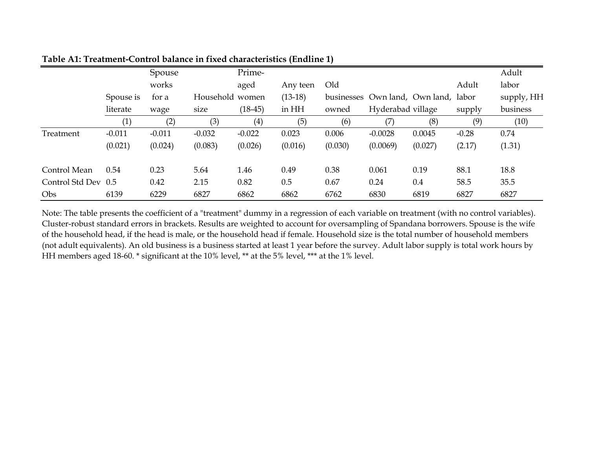|                     |           | Spouse   |                 | Prime-    |           |         |                                      |         |         | Adult      |
|---------------------|-----------|----------|-----------------|-----------|-----------|---------|--------------------------------------|---------|---------|------------|
|                     |           | works    |                 | aged      | Any teen  | Old     |                                      |         | Adult   | labor      |
|                     | Spouse is | for a    | Household women |           | $(13-18)$ |         | businesses Own land, Own land, labor |         |         | supply, HH |
|                     | literate  | wage     | size            | $(18-45)$ | in HH     | owned   | Hyderabad village                    |         | supply  | business   |
|                     | (1)       | (2)      | (3)             | (4)       | (5)       | (6)     | (7)                                  | (8)     | (9)     | (10)       |
| Treatment           | $-0.011$  | $-0.011$ | $-0.032$        | $-0.022$  | 0.023     | 0.006   | $-0.0028$                            | 0.0045  | $-0.28$ | 0.74       |
|                     | (0.021)   | (0.024)  | (0.083)         | (0.026)   | (0.016)   | (0.030) | (0.0069)                             | (0.027) | (2.17)  | (1.31)     |
| Control Mean        | 0.54      | 0.23     | 5.64            | 1.46      | 0.49      | 0.38    | 0.061                                | 0.19    | 88.1    | 18.8       |
| Control Std Dev 0.5 |           | 0.42     | 2.15            | 0.82      | 0.5       | 0.67    | 0.24                                 | 0.4     | 58.5    | 35.5       |
| Obs                 | 6139      | 6229     | 6827            | 6862      | 6862      | 6762    | 6830                                 | 6819    | 6827    | 6827       |

**Table A1: Treatment-Control balance in fixed characteristics (Endline 1)**

Note: The table presents the coefficient of a "treatment" dummy in a regression of each variable on treatment (with no control variables). Cluster-robust standard errors in brackets. Results are weighted to account for oversampling of Spandana borrowers. Spouse is the wife of the household head, if the head is male, or the household head if female. Household size is the total number of household members (not adult equivalents). An old business is a business started at least 1 year before the survey. Adult labor supply is total work hours by HH members aged 18-60. \* significant at the 10% level, \*\* at the 5% level, \*\*\* at the 1% level.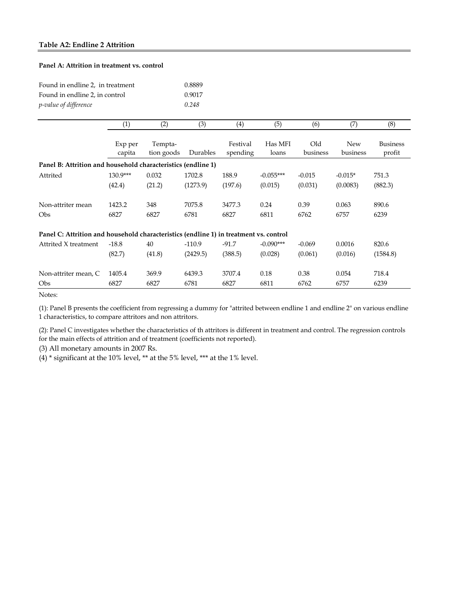### **Table A2: Endline 2 Attrition**

### **Panel A: Attrition in treatment vs. control**

| Found in endline 2, in treatment | 0.8889 |
|----------------------------------|--------|
| Found in endline 2, in control   | 0.9017 |
| <i>p</i> -value of difference    | 0.248  |

|                                                                                       | (1)               | (2)                   | (3)      | (4)                  | (5)              | (6)             | (7)                    | (8)                       |
|---------------------------------------------------------------------------------------|-------------------|-----------------------|----------|----------------------|------------------|-----------------|------------------------|---------------------------|
|                                                                                       | Exp per<br>capita | Tempta-<br>tion goods | Durables | Festival<br>spending | Has MFI<br>loans | Old<br>business | <b>New</b><br>business | <b>Business</b><br>profit |
| Panel B: Attrition and household characteristics (endline 1)                          |                   |                       |          |                      |                  |                 |                        |                           |
| Attrited                                                                              | $130.9***$        | 0.032                 | 1702.8   | 188.9                | $-0.055***$      | $-0.015$        | $-0.015*$              | 751.3                     |
|                                                                                       | (42.4)            | (21.2)                | (1273.9) | (197.6)              | (0.015)          | (0.031)         | (0.0083)               | (882.3)                   |
| Non-attriter mean                                                                     | 1423.2            | 348                   | 7075.8   | 3477.3               | 0.24             | 0.39            | 0.063                  | 890.6                     |
| <b>Obs</b>                                                                            | 6827              | 6827                  | 6781     | 6827                 | 6811             | 6762            | 6757                   | 6239                      |
| Panel C: Attrition and household characteristics (endline 1) in treatment vs. control |                   |                       |          |                      |                  |                 |                        |                           |
| Attrited X treatment                                                                  | $-18.8$           | 40                    | $-110.9$ | $-91.7$              | $-0.090***$      | $-0.069$        | 0.0016                 | 820.6                     |
|                                                                                       | (82.7)            | (41.8)                | (2429.5) | (388.5)              | (0.028)          | (0.061)         | (0.016)                | (1584.8)                  |
| Non-attriter mean, C                                                                  | 1405.4            | 369.9                 | 6439.3   | 3707.4               | 0.18             | 0.38            | 0.054                  | 718.4                     |
| <b>Obs</b>                                                                            | 6827              | 6827                  | 6781     | 6827                 | 6811             | 6762            | 6757                   | 6239                      |

Notes:

(1): Panel B presents the coefficient from regressing a dummy for "attrited between endline 1 and endline 2" on various endline 1 characteristics, to compare attritors and non attritors.

(2): Panel C investigates whether the characteristics of th attritors is different in treatment and control. The regression controls for the main effects of attrition and of treatment (coefficients not reported).

(3) All monetary amounts in 2007 Rs.

(4) \* significant at the 10% level, \*\* at the 5% level, \*\*\* at the 1% level.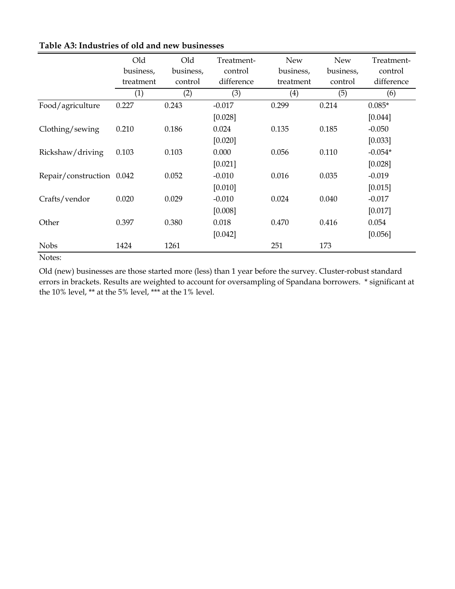| Old                       | Old       | Treatment- | New       | <b>New</b> | Treatment- |
|---------------------------|-----------|------------|-----------|------------|------------|
| business,                 | business, | control    | business, | business,  | control    |
| treatment                 | control   | difference | treatment | control    | difference |
| (1)                       | (2)       | (3)        | (4)       | (5)        | (6)        |
| 0.227                     | 0.243     | $-0.017$   | 0.299     | 0.214      | $0.085*$   |
|                           |           | [0.028]    |           |            | [0.044]    |
| 0.210                     | 0.186     | 0.024      | 0.135     | 0.185      | $-0.050$   |
|                           |           | [0.020]    |           |            | [0.033]    |
| 0.103                     | 0.103     | 0.000      | 0.056     | 0.110      | $-0.054*$  |
|                           |           | [0.021]    |           |            | [0.028]    |
| Repair/construction 0.042 | 0.052     | $-0.010$   | 0.016     | 0.035      | $-0.019$   |
|                           |           | [0.010]    |           |            | [0.015]    |
| 0.020                     | 0.029     | $-0.010$   | 0.024     | 0.040      | $-0.017$   |
|                           |           | [0.008]    |           |            | [0.017]    |
| 0.397                     | 0.380     | 0.018      | 0.470     | 0.416      | 0.054      |
|                           |           | [0.042]    |           |            | [0.056]    |
| 1424                      | 1261      |            | 251       | 173        |            |
|                           |           |            |           |            |            |

# **Table A3: Industries of old and new businesses**

Notes:

Old (new) businesses are those started more (less) than 1 year before the survey. Cluster-robust standard errors in brackets. Results are weighted to account for oversampling of Spandana borrowers. \* significant at the 10% level, \*\* at the 5% level, \*\*\* at the 1% level.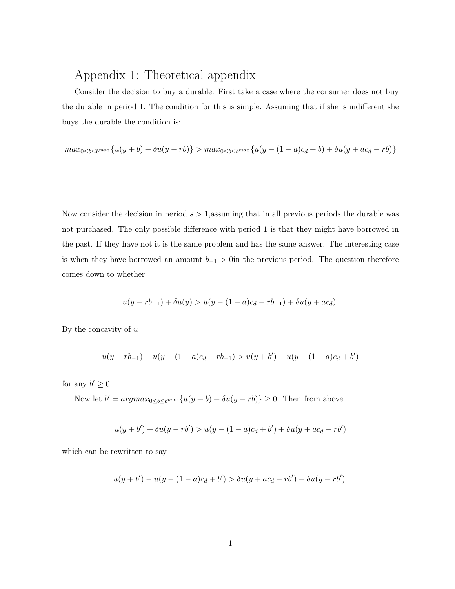# Appendix 1: Theoretical appendix

Consider the decision to buy a durable. First take a case where the consumer does not buy the durable in period 1. The condition for this is simple. Assuming that if she is indifferent she buys the durable the condition is:

$$
max_{0\leq b\leq b^{max}}\{u(y+b)+\delta u(y-rb)\} > max_{0\leq b\leq b^{max}}\{u(y-(1-a)c_d+b)+\delta u(y+ac_d-rb)\}
$$

Now consider the decision in period  $s > 1$ , assuming that in all previous periods the durable was not purchased. The only possible difference with period 1 is that they might have borrowed in the past. If they have not it is the same problem and has the same answer. The interesting case is when they have borrowed an amount  $b_{-1} > 0$  in the previous period. The question therefore comes down to whether

$$
u(y - rb_{-1}) + \delta u(y) > u(y - (1 - a)c_d - rb_{-1}) + \delta u(y + ac_d).
$$

By the concavity of  $u$ 

$$
u(y - rb_{-1}) - u(y - (1 - a)c_d - rb_{-1}) > u(y + b') - u(y - (1 - a)c_d + b')
$$

for any  $b' \geq 0$ .

Now let  $b' = argmax_{0 \leq b \leq b^{max}} \{u(y+b) + \delta u(y-rb)\} \geq 0$ . Then from above

$$
u(y + b') + \delta u(y - rb') > u(y - (1 - a)c_d + b') + \delta u(y + ac_d - rb')
$$

which can be rewritten to say

$$
u(y + b') - u(y - (1 - a)c_d + b') > \delta u(y + ac_d - rb') - \delta u(y - rb').
$$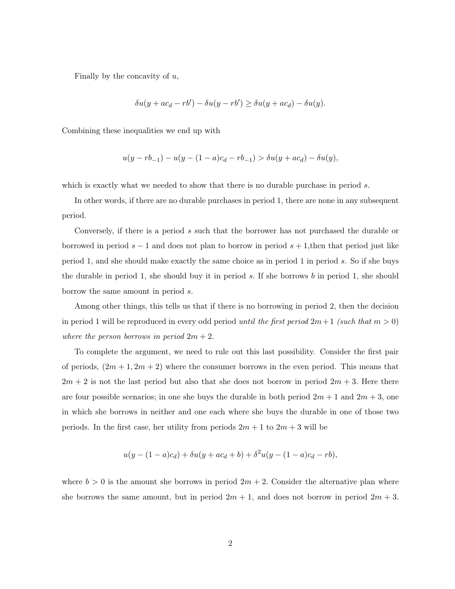Finally by the concavity of  $u$ ,

$$
\delta u(y + ac_d - rb') - \delta u(y - rb') \ge \delta u(y + ac_d) - \delta u(y).
$$

Combining these inequalities we end up with

$$
u(y - rb_{-1}) - u(y - (1 - a)c_d - rb_{-1}) > \delta u(y + ac_d) - \delta u(y),
$$

which is exactly what we needed to show that there is no durable purchase in period s.

In other words, if there are no durable purchases in period 1, there are none in any subsequent period.

Conversely, if there is a period s such that the borrower has not purchased the durable or borrowed in period  $s - 1$  and does not plan to borrow in period  $s + 1$ , then that period just like period 1, and she should make exactly the same choice as in period 1 in period s. So if she buys the durable in period 1, she should buy it in period s. If she borrows b in period 1, she should borrow the same amount in period s.

Among other things, this tells us that if there is no borrowing in period 2, then the decision in period 1 will be reproduced in every odd period until the first period  $2m+1$  (such that  $m>0$ ) where the person borrows in period  $2m + 2$ .

To complete the argument, we need to rule out this last possibility. Consider the first pair of periods,  $(2m + 1, 2m + 2)$  where the consumer borrows in the even period. This means that  $2m + 2$  is not the last period but also that she does not borrow in period  $2m + 3$ . Here there are four possible scenarios; in one she buys the durable in both period  $2m + 1$  and  $2m + 3$ , one in which she borrows in neither and one each where she buys the durable in one of those two periods. In the first case, her utility from periods  $2m + 1$  to  $2m + 3$  will be

$$
u(y - (1 - a)c_d) + \delta u(y + ac_d + b) + \delta^2 u(y - (1 - a)c_d - rb),
$$

where  $b > 0$  is the amount she borrows in period  $2m + 2$ . Consider the alternative plan where she borrows the same amount, but in period  $2m + 1$ , and does not borrow in period  $2m + 3$ .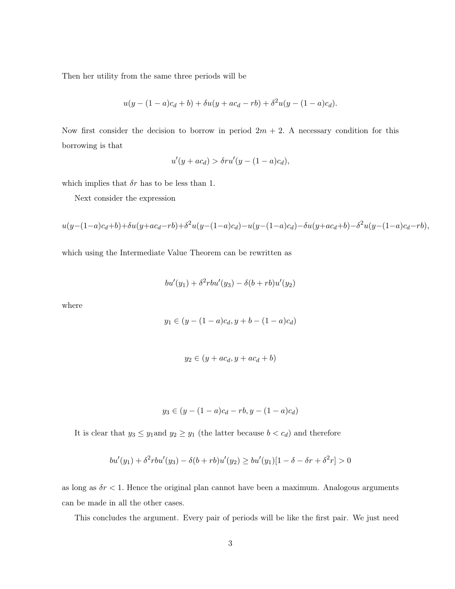Then her utility from the same three periods will be

$$
u(y - (1 - a)c_d + b) + \delta u(y + ac_d - rb) + \delta^2 u(y - (1 - a)c_d).
$$

Now first consider the decision to borrow in period  $2m + 2$ . A necessary condition for this borrowing is that

$$
u'(y+ac_d) > \delta r u'(y-(1-a)c_d),
$$

which implies that  $\delta r$  has to be less than 1.

Next consider the expression

$$
u(y - (1 - a)c_d + b) + \delta u(y + ac_d - rb) + \delta^2 u(y - (1 - a)c_d) - u(y - (1 - a)c_d) - \delta u(y + ac_d + b) - \delta^2 u(y - (1 - a)c_d - rb),
$$

which using the Intermediate Value Theorem can be rewritten as

$$
bu'(y_1) + \delta^2 rbu'(y_3) - \delta(b + rb)u'(y_2)
$$

where

$$
y_1 \in (y - (1 - a)c_d, y + b - (1 - a)c_d)
$$

$$
y_2 \in (y + ac_d, y + ac_d + b)
$$

$$
y_3 \in (y - (1 - a)c_d - rb, y - (1 - a)c_d)
$$

It is clear that  $y_3 \leq y_1$  and  $y_2 \geq y_1$  (the latter because  $b < c_d$ ) and therefore

$$
bu'(y_1) + \delta^2 r bu'(y_3) - \delta(b + rb)u'(y_2) \geq bu'(y_1)[1 - \delta - \delta r + \delta^2 r] > 0
$$

as long as  $\delta r$  < 1. Hence the original plan cannot have been a maximum. Analogous arguments can be made in all the other cases.

This concludes the argument. Every pair of periods will be like the first pair. We just need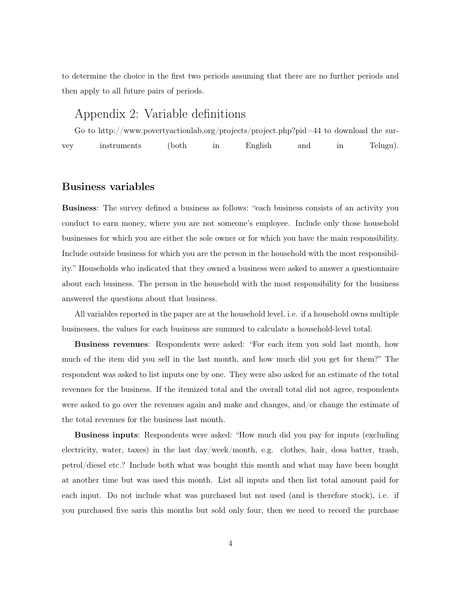to determine the choice in the first two periods assuming that there are no further periods and then apply to all future pairs of periods.

# Appendix 2: Variable definitions

Go to http://www.povertyactionlab.org/projects/project.php?pid=44 to download the survey instruments (both in English and in Telugu).

# Business variables

Business: The survey defined a business as follows: "each business consists of an activity you conduct to earn money, where you are not someone's employee. Include only those household businesses for which you are either the sole owner or for which you have the main responsibility. Include outside business for which you are the person in the household with the most responsibility." Households who indicated that they owned a business were asked to answer a questionnaire about each business. The person in the household with the most responsibility for the business answered the questions about that business.

All variables reported in the paper are at the household level, i.e. if a household owns multiple businesses, the values for each business are summed to calculate a household-level total.

Business revenues: Respondents were asked: "For each item you sold last month, how much of the item did you sell in the last month, and how much did you get for them?" The respondent was asked to list inputs one by one. They were also asked for an estimate of the total revenues for the business. If the itemized total and the overall total did not agree, respondents were asked to go over the revenues again and make and changes, and/or change the estimate of the total revenues for the business last month.

Business inputs: Respondents were asked: "How much did you pay for inputs (excluding electricity, water, taxes) in the last day/week/month, e.g. clothes, hair, dosa batter, trash, petrol/diesel etc.? Include both what was bought this month and what may have been bought at another time but was used this month. List all inputs and then list total amount paid for each input. Do not include what was purchased but not used (and is therefore stock), i.e. if you purchased five saris this months but sold only four, then we need to record the purchase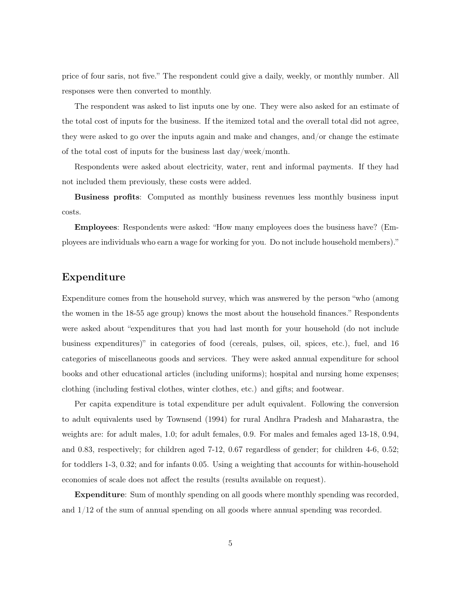price of four saris, not five." The respondent could give a daily, weekly, or monthly number. All responses were then converted to monthly.

The respondent was asked to list inputs one by one. They were also asked for an estimate of the total cost of inputs for the business. If the itemized total and the overall total did not agree, they were asked to go over the inputs again and make and changes, and/or change the estimate of the total cost of inputs for the business last day/week/month.

Respondents were asked about electricity, water, rent and informal payments. If they had not included them previously, these costs were added.

Business profits: Computed as monthly business revenues less monthly business input costs.

Employees: Respondents were asked: "How many employees does the business have? (Employees are individuals who earn a wage for working for you. Do not include household members)."

# Expenditure

Expenditure comes from the household survey, which was answered by the person "who (among the women in the 18-55 age group) knows the most about the household finances." Respondents were asked about "expenditures that you had last month for your household (do not include business expenditures)" in categories of food (cereals, pulses, oil, spices, etc.), fuel, and 16 categories of miscellaneous goods and services. They were asked annual expenditure for school books and other educational articles (including uniforms); hospital and nursing home expenses; clothing (including festival clothes, winter clothes, etc.) and gifts; and footwear.

Per capita expenditure is total expenditure per adult equivalent. Following the conversion to adult equivalents used by Townsend (1994) for rural Andhra Pradesh and Maharastra, the weights are: for adult males, 1.0; for adult females, 0.9. For males and females aged 13-18, 0.94, and 0.83, respectively; for children aged 7-12, 0.67 regardless of gender; for children 4-6, 0.52; for toddlers 1-3, 0.32; and for infants 0.05. Using a weighting that accounts for within-household economies of scale does not affect the results (results available on request).

Expenditure: Sum of monthly spending on all goods where monthly spending was recorded, and 1/12 of the sum of annual spending on all goods where annual spending was recorded.